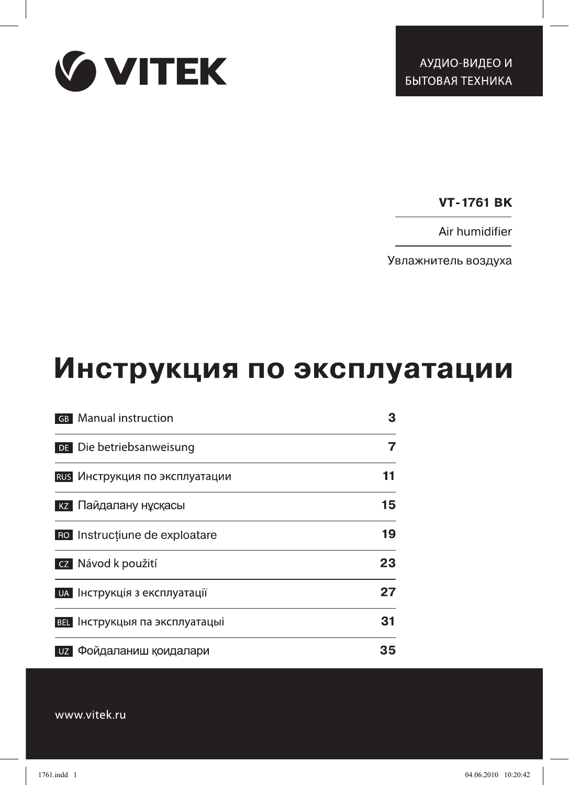

**VT-1761 BK** 

Air humidifier

Увлажнитель воздуха

# Инструкция по эксплуатации

| <b>GB</b> Manual instruction             | 3  |
|------------------------------------------|----|
| DE Die betriebsanweisung                 | 7  |
| RUS Инструкция по эксплуатации           | 11 |
| кz Пайдалану н <u>у</u> сқасы            | 15 |
| RO Instrucțiune de exploatare            | 19 |
| cz Návod k použití                       | 23 |
| <b>UA</b> Інструкція з експлуатації      | 27 |
| Інструкцыя па эксплуатацыі<br><b>BEL</b> | 31 |
| uz Фойдаланиш коидалари                  | 35 |

www.vitek.ru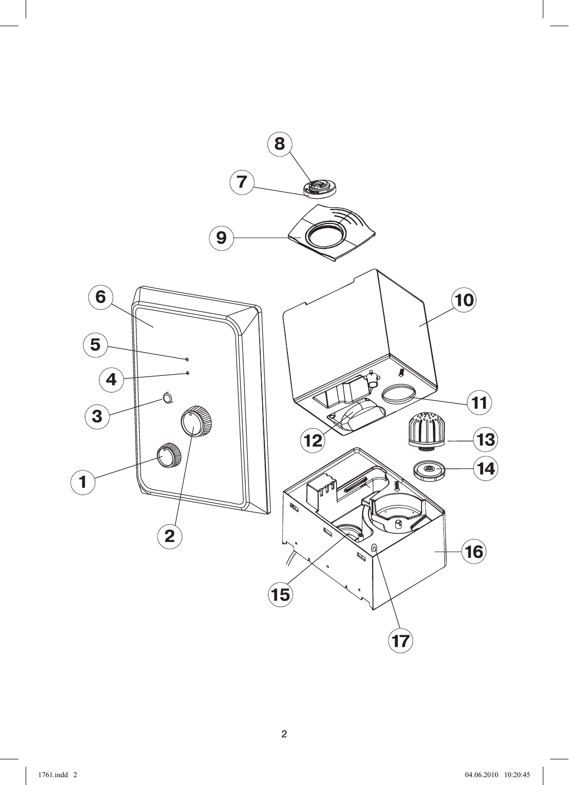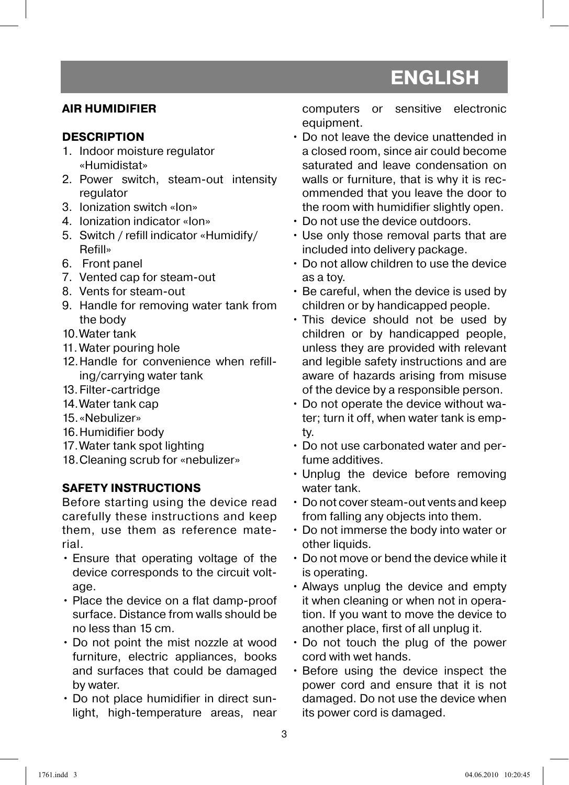## **AIR HUMIDIFIER**

## **DESCRIPTION**

- 1. Indoor moisture regulator «Humidistat»
- 2. Power switch, steam-out intensity regulator
- 3. Ionization switch «Ion»
- 4. Ionization indicator «Ion»
- 5. Switch / refill indicator «Humidify/ Refill»
- 6. Front panel
- 7. Vented cap for steam-out
- 8. Vents for steam-out
- 9. Handle for removing water tank from the body
- 10. Water tank
- 11. Water pouring hole
- 12. Handle for convenience when refilling/carrying water tank
- 13. Filter-cartridge
- 14. Water tank cap
- 15. «Nebulizer»
- 16. Humidifier body
- 17. Water tank spot lighting
- 18. Cleaning scrub for «nebulizer»

# **SAFETY INSTRUCTIONS**

Before starting using the device read carefully these instructions and keep them, use them as reference material.

- Ensure that operating voltage of the device corresponds to the circuit voltage.
- Place the device on a flat damp-proof surface. Distance from walls should be no less than 15 cm.
- Do not point the mist nozzle at wood furniture, electric appliances, books and surfaces that could be damaged by water.
- Do not place humidifier in direct sunlight, high-temperature areas, near

computers or sensitive electronic equipment.

- Do not leave the device unattended in a closed room, since air could become saturated and leave condensation on walls or furniture, that is why it is recommended that you leave the door to the room with humidifier slightly open.
- Do not use the device outdoors.
- Use only those removal parts that are included into delivery package.
- Do not allow children to use the device as a toy.
- Be careful, when the device is used by children or by handicapped people.
- This device should not be used by children or by handicapped people, unless they are provided with relevant and legible safety instructions and are aware of hazards arising from misuse of the device by a responsible person.
- Do not operate the device without water; turn it off, when water tank is empty.
- Do not use carbonated water and perfume additives.
- Unplug the device before removing water tank.
- Do not cover steam-out vents and keep from falling any objects into them.
- Do not immerse the body into water or other liquids.
- Do not move or bend the device while it is operating.
- Always unplug the device and empty it when cleaning or when not in operation. If you want to move the device to another place, first of all unplug it.
- Do not touch the plug of the power cord with wet hands.
- Before using the device inspect the power cord and ensure that it is not damaged. Do not use the device when its power cord is damaged.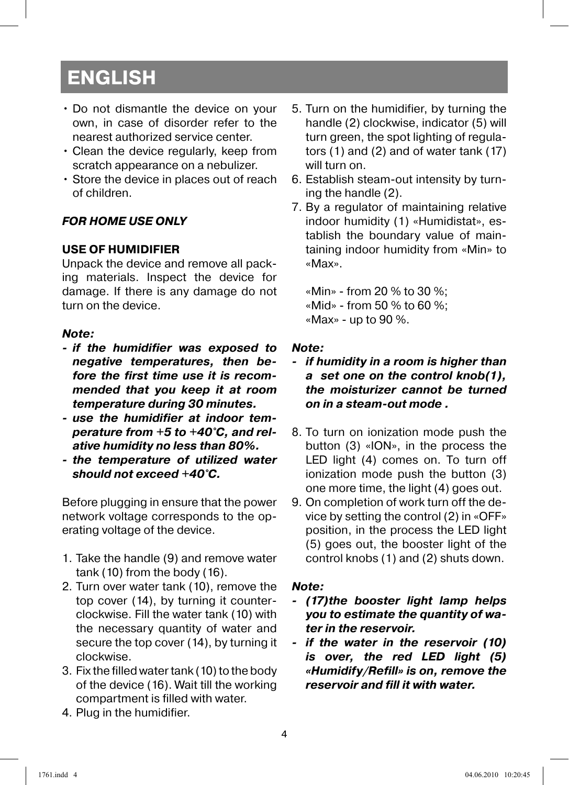- Do not dismantle the device on your own, in case of disorder refer to the nearest authorized service center.
- Clean the device regularly, keep from scratch appearance on a nebulizer.
- Store the device in places out of reach of children.

# *FOR HOME USE ONLY*

## **USE OF HUMIDIFIER**

Unpack the device and remove all packing materials. Inspect the device for damage. If there is any damage do not turn on the device.

### *Note:*

- *if the humidifier was exposed to negative temperatures, then before the first time use it is recommended that you keep it at room temperature during 30 minutes.*
- *use the humidifier at indoor temperature from +5 to +40°С, and relative humidity no less than 80%.*
- *the temperature of utilized water should not exceed +40°С.*

Before plugging in ensure that the power network voltage corresponds to the operating voltage of the device.

- 1. Take the handle (9) and remove water tank (10) from the body (16).
- 2. Turn over water tank (10), remove the top cover (14), by turning it counterclockwise. Fill the water tank (10) with the necessary quantity of water and secure the top cover (14), by turning it clockwise.
- 3. Fix the filled water tank (10) to the body of the device (16). Wait till the working compartment is filled with water.
- 4. Plug in the humidifier.
- 5. Turn on the humidifier, by turning the handle (2) clockwise, indicator (5) will turn green, the spot lighting of regulators (1) and (2) and of water tank (17) will turn on.
- 6. Establish steam-out intensity by turning the handle (2).
- 7. By a regulator of maintaining relative indoor humidity (1) «Humidistat», establish the boundary value of maintaining indoor humidity from «Min» to «Max».

 «Min» - from 20 % to 30 %; «Mid» - from 50 % to 60 %; «Max» - up to 90 %.

### *Note:*

- *if humidity in a room is higher than a set one on the control knob(1), the moisturizer cannot be turned on in a steam-out mode .*
- 8. To turn on ionization mode push the button (3) «ION», in the process the LED light (4) comes on. To turn off ionization mode push the button (3) one more time, the light (4) goes out.
- 9. On completion of work turn off the device by setting the control (2) in «OFF» position, in the process the LED light (5) goes out, the booster light of the control knobs (1) and (2) shuts down.

## *Note:*

- *(17)the booster light lamp helps you to estimate the quantity of water in the reservoir.*
- *if the water in the reservoir (10) is over, the red LED light (5) «Humidify/Refill» is on, remove the reservoir and fill it with water.*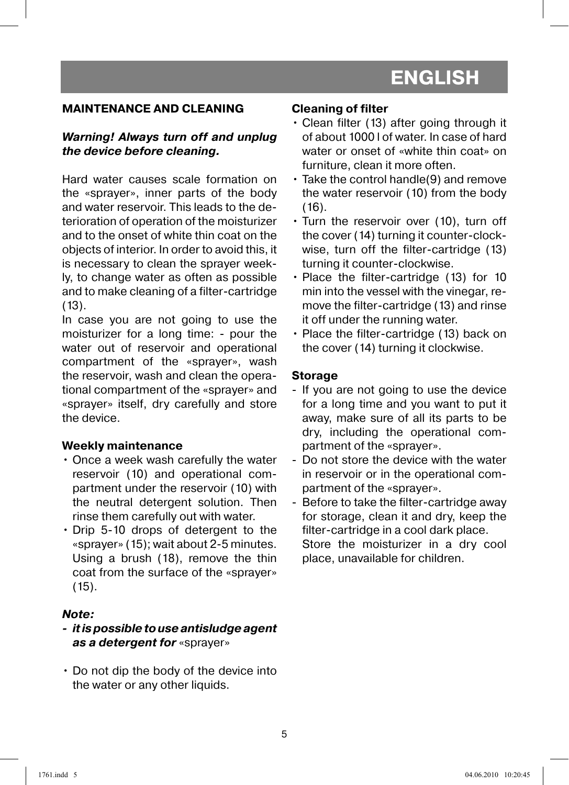### **MAINTENANCE AND CLEANING**

### *Warning! Always turn off and unplug the device before cleaning.*

Hard water causes scale formation on the «sprayer», inner parts of the body and water reservoir. This leads to the deterioration of operation of the moisturizer and to the onset of white thin coat on the objects of interior. In order to avoid this, it is necessary to clean the sprayer weekly, to change water as often as possible and to make cleaning of a filter-cartridge (13).

In case you are not going to use the moisturizer for a long time: - pour the water out of reservoir and operational compartment of the «sprayer», wash the reservoir, wash and clean the operational compartment of the «sprayer» and «sprayer» itself, dry carefully and store the device.

### **Weekly maintenance**

- Once a week wash carefully the water reservoir (10) and operational compartment under the reservoir (10) with the neutral detergent solution. Then rinse them carefully out with water.
- Drip 5-10 drops of detergent to the «sprayer» (15); wait about 2-5 minutes. Using a brush (18), remove the thin coat from the surface of the «sprayer» (15).

### *Note:*

- *it is possible to use antisludge agent as a detergent for* «sprayer»
- Do not dip the body of the device into the water or any other liquids.

#### **Cleaning of filter**

- Clean filter (13) after going through it of about 1000 l of water. In case of hard water or onset of «white thin coat» on furniture, clean it more often.
- Take the control handle(9) and remove the water reservoir (10) from the body  $(16)$ .
- Turn the reservoir over (10), turn off the cover (14) turning it counter-clockwise, turn off the filter-cartridge (13) turning it counter-clockwise.
- Place the filter-cartridge (13) for 10 min into the vessel with the vinegar, remove the filter-cartridge (13) and rinse it off under the running water.
- Place the filter-cartridge (13) back on the cover (14) turning it clockwise.

#### **Storage**

- If you are not going to use the device for a long time and you want to put it away, make sure of all its parts to be dry, including the operational compartment of the «sprayer».
- Do not store the device with the water in reservoir or in the operational compartment of the «sprayer».
- Before to take the filter-cartridge away for storage, clean it and dry, keep the filter-cartridge in a cool dark place. Store the moisturizer in a dry cool place, unavailable for children.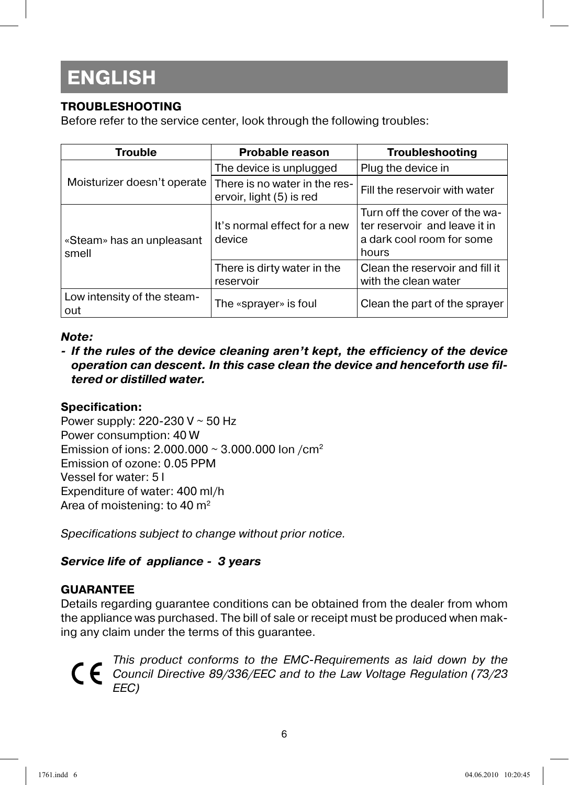# **TROUBLESHOOTING**

Before refer to the service center, look through the following troubles:

| <b>Trouble</b>                     | Probable reason                                           | <b>Troubleshooting</b>                                                                               |
|------------------------------------|-----------------------------------------------------------|------------------------------------------------------------------------------------------------------|
| Moisturizer doesn't operate        | The device is unplugged                                   | Plug the device in                                                                                   |
|                                    | There is no water in the res-<br>ervoir, light (5) is red | Fill the reservoir with water                                                                        |
| «Steam» has an unpleasant<br>smell | It's normal effect for a new<br>device                    | Turn off the cover of the wa-<br>ter reservoir and leave it in<br>a dark cool room for some<br>hours |
|                                    | There is dirty water in the<br>reservoir                  | Clean the reservoir and fill it<br>with the clean water                                              |
| Low intensity of the steam-<br>out | The «sprayer» is foul                                     | Clean the part of the sprayer                                                                        |

### *Note:*

*- If the rules of the device cleaning aren't kept, the efficiency of the device operation can descent. In this case clean the device and henceforth use filtered or distilled water.* 

## **Specification:**

Power supply: 220-230 V ~ 50 Hz Power consumption: 40 W Emission of ions: 2.000.000 ~ 3.000.000 Ion /cm2 Emission of ozone: 0.05 PPM Vessel for water: 5 l Expenditure of water: 400 ml/h Area of moistening: to 40 m2

Specifications subject to change without prior notice.

# *Service life of appliance - 3 years*

## **GUARANTEE**

Details regarding guarantee conditions can be obtained from the dealer from whom the appliance was purchased. The bill of sale or receipt must be produced when making any claim under the terms of this guarantee.



This product conforms to the EMC-Requirements as laid down by the C Council Directive 89/336/EEC and to the Law Voltage Regulation (73/23) EEC)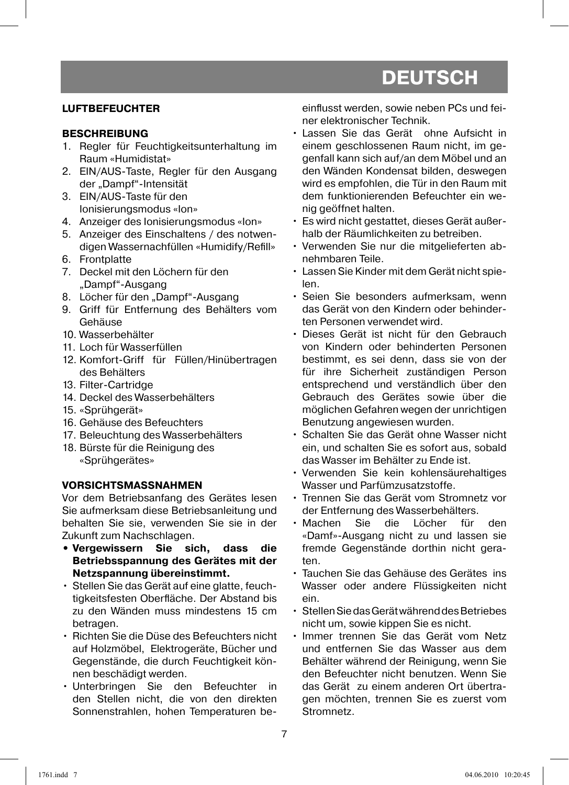### **LUFTBEFEUCHTER**

#### **BESCHREIBUNG**

- 1. Regler für Feuchtigkeitsunterhaltung im Raum «Humidistat»
- 2. EIN/AUS-Taste, Regler für den Ausgang der "Dampf"-Intensität
- 3. EIN/AUS-Taste für den Ionisierungsmodus «Ion»
- 4. Anzeiger des Ionisierungsmodus «Ion»
- 5. Anzeiger des Einschaltens / des notwendigen Wassernachfüllen «Humidify/Refill»
- 6. Frontplatte
- 7. Deckel mit den Löchern für den "Dampf"-Ausgang
- 8. Löcher für den "Dampf"-Ausgang
- 9. Griff für Entfernung des Behälters vom Gehäuse
- 10. Wasserbehälter
- 11. Loch für Wasserfüllen
- 12. Komfort-Griff für Füllen/Hinübertragen des Behälters
- 13. Filter-Cartridge
- 14. Deckel des Wasserbehälters
- 15. «Sprühgerät»
- 16. Gehäuse des Befeuchters
- 17. Beleuchtung des Wasserbehälters
- 18. Bürste für die Reinigung des «Sprühgerätes»

### **VORSICHTSMASSNAHMEN**

Vor dem Betriebsanfang des Gerätes lesen Sie aufmerksam diese Betriebsanleitung und behalten Sie sie, verwenden Sie sie in der Zukunft zum Nachschlagen.

- **Vergewissern Sie sich, dass die Betriebsspannung des Gerätes mit der Netzspannung übereinstimmt.**
- Stellen Sie das Gerät auf eine glatte, feuchtigkeitsfesten Oberfläche. Der Abstand bis zu den Wänden muss mindestens 15 cm betragen.
- Richten Sie die Düse des Befeuchters nicht auf Holzmöbel, Elektrogeräte, Bücher und Gegenstände, die durch Feuchtigkeit können beschädigt werden.
- Unterbringen Sie den Befeuchter in den Stellen nicht, die von den direkten Sonnenstrahlen, hohen Temperaturen be-

einflusst werden, sowie neben PCs und feiner elektronischer Technik.

- Lassen Sie das Gerät ohne Aufsicht in einem geschlossenen Raum nicht, im gegenfall kann sich auf/an dem Möbel und an den Wänden Kondensat bilden, deswegen wird es empfohlen, die Tür in den Raum mit dem funktionierenden Befeuchter ein wenig geöffnet halten.
- Es wird nicht gestattet, dieses Gerät außerhalb der Räumlichkeiten zu betreiben.
- Verwenden Sie nur die mitgelieferten abnehmbaren Teile.
- Lassen Sie Kinder mit dem Gerät nicht spielen.
- Seien Sie besonders aufmerksam, wenn das Gerät von den Kindern oder behinderten Personen verwendet wird.
- Dieses Gerät ist nicht für den Gebrauch von Kindern oder behinderten Personen bestimmt, es sei denn, dass sie von der für ihre Sicherheit zuständigen Person entsprechend und verständlich über den Gebrauch des Gerätes sowie über die möglichen Gefahren wegen der unrichtigen Benutzung angewiesen wurden.
- Schalten Sie das Gerät ohne Wasser nicht ein, und schalten Sie es sofort aus, sobald das Wasser im Behälter zu Ende ist.
- Verwenden Sie kein kohlensäurehaltiges Wasser und Parfümzusatzstoffe.
- Trennen Sie das Gerät vom Stromnetz vor der Entfernung des Wasserbehälters.
- Machen Sie die Löcher für den «Damf»-Ausgang nicht zu und lassen sie fremde Gegenstände dorthin nicht geraten.
- Tauchen Sie das Gehäuse des Gerätes ins Wasser oder andere Flüssigkeiten nicht ein.
- Stellen Sie das Gerät während des Betriebes nicht um, sowie kippen Sie es nicht.
- Immer trennen Sie das Gerät vom Netz und entfernen Sie das Wasser aus dem Behälter während der Reinigung, wenn Sie den Befeuchter nicht benutzen. Wenn Sie das Gerät zu einem anderen Ort übertragen möchten, trennen Sie es zuerst vom Stromnetz.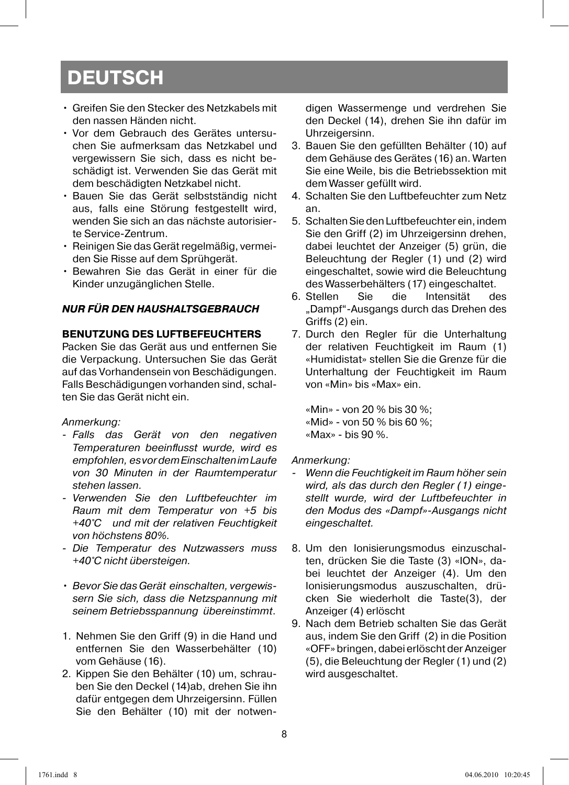- Greifen Sie den Stecker des Netzkabels mit den nassen Händen nicht.
- Vor dem Gebrauch des Gerätes untersuchen Sie aufmerksam das Netzkabel und vergewissern Sie sich, dass es nicht beschädigt ist. Verwenden Sie das Gerät mit dem beschädigten Netzkabel nicht.
- Bauen Sie das Gerät selbstständig nicht aus, falls eine Störung festgestellt wird, wenden Sie sich an das nächste autorisierte Service-Zentrum.
- Reinigen Sie das Gerät regelmäßig, vermeiden Sie Risse auf dem Sprühgerät.
- Bewahren Sie das Gerät in einer für die Kinder unzugänglichen Stelle.

### *NUR FÜR DEN HAUSHALTSGEBRAUCH*

### **BENUTZUNG DES LUFTBEFEUCHTERS**

Packen Sie das Gerät aus und entfernen Sie die Verpackung. Untersuchen Sie das Gerät auf das Vorhandensein von Beschädigungen. Falls Beschädigungen vorhanden sind, schalten Sie das Gerät nicht ein.

### Anmerkung:

- Falls das Gerät von den negativen Temperaturen beeinflusst wurde, wird es empfohlen, es vor dem Einschalten im Laufe von 30 Minuten in der Raumtemperatur stehen lassen.
- Verwenden Sie den Luftbefeuchter im Raum mit dem Temperatur von +5 bis +40°C und mit der relativen Feuchtigkeit von höchstens 80%.
- Die Temperatur des Nutzwassers muss +40°C nicht übersteigen.
- Bevor Sie das Gerät einschalten, vergewissern Sie sich, dass die Netzspannung mit seinem Betriebsspannung übereinstimmt.
- 1. Nehmen Sie den Griff (9) in die Hand und entfernen Sie den Wasserbehälter (10) vom Gehäuse (16).
- 2. Kippen Sie den Behälter (10) um, schrauben Sie den Deckel (14)ab, drehen Sie ihn dafür entgegen dem Uhrzeigersinn. Füllen Sie den Behälter (10) mit der notwen-

digen Wassermenge und verdrehen Sie den Deckel (14), drehen Sie ihn dafür im Uhrzeigersinn.

- 3. Bauen Sie den gefüllten Behälter (10) auf dem Gehäuse des Gerätes (16) an. Warten Sie eine Weile, bis die Betriebssektion mit dem Wasser gefüllt wird.
- 4. Schalten Sie den Luftbefeuchter zum Netz an.
- 5. Schalten Sie den Luftbefeuchter ein, indem Sie den Griff (2) im Uhrzeigersinn drehen, dabei leuchtet der Anzeiger (5) grün, die Beleuchtung der Regler (1) und (2) wird eingeschaltet, sowie wird die Beleuchtung des Wasserbehälters (17) eingeschaltet.
- 6. Stellen Sie die Intensität des "Dampf"-Ausgangs durch das Drehen des Griffs (2) ein.
- 7. Durch den Regler für die Unterhaltung der relativen Feuchtigkeit im Raum (1) «Humidistat» stellen Sie die Grenze für die Unterhaltung der Feuchtigkeit im Raum von «Min» bis «Max» ein.

 «Min» - von 20 % bis 30 %; «Mid» - von 50 % bis 60 %; «Max» - bis 90 %.

### Anmerkung:

- - Wenn die Feuchtigkeit im Raum höher sein wird, als das durch den Regler (1) eingestellt wurde, wird der Luftbefeuchter in den Modus des «Dampf»-Ausgangs nicht eingeschaltet.
- 8. Um den Ionisierungsmodus einzuschalten, drücken Sie die Taste (3) «ION», dabei leuchtet der Anzeiger (4). Um den Ionisierungsmodus auszuschalten, drücken Sie wiederholt die Taste(3), der Anzeiger (4) erlöscht
- 9. Nach dem Betrieb schalten Sie das Gerät aus, indem Sie den Griff (2) in die Position «OFF» bringen, dabei erlöscht der Anzeiger (5), die Beleuchtung der Regler (1) und (2) wird ausgeschaltet.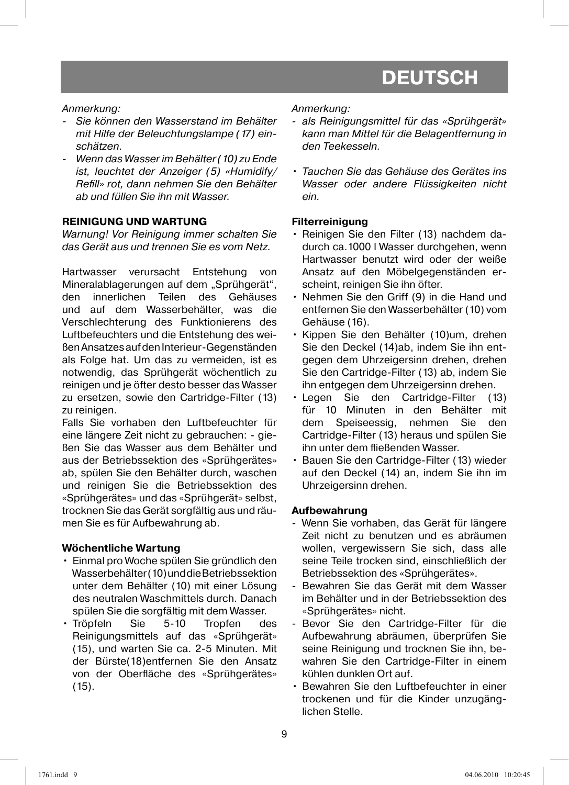Anmerkung:

- Sie können den Wasserstand im Behälter mit Hilfe der Beleuchtungslampe (17) einschätzen.
- Wenn das Wasser im Behälter (10) zu Ende ist, leuchtet der Anzeiger (5) «Humidify/ Refill» rot, dann nehmen Sie den Behälter ab und füllen Sie ihn mit Wasser.

### **REINIGUNG UND WARTUNG**

Warnung! Vor Reinigung immer schalten Sie das Gerät aus und trennen Sie es vom Netz.

Hartwasser verursacht Entstehung von Mineralablagerungen auf dem "Sprühgerät", den innerlichen Teilen des Gehäuses und auf dem Wasserbehälter, was die Verschlechterung des Funktionierens des Luftbefeuchters und die Entstehung des weißen Ansatzes auf den Interieur-Gegenständen als Folge hat. Um das zu vermeiden, ist es notwendig, das Sprühgerät wöchentlich zu reinigen und je öfter desto besser das Wasser zu ersetzen, sowie den Cartridge-Filter (13) zu reinigen.

Falls Sie vorhaben den Luftbefeuchter für eine längere Zeit nicht zu gebrauchen: - gießen Sie das Wasser aus dem Behälter und aus der Betriebssektion des «Sprühgerätes» ab, spülen Sie den Behälter durch, waschen und reinigen Sie die Betriebssektion des «Sprühgerätes» und das «Sprühgerät» selbst, trocknen Sie das Gerät sorgfältig aus und räumen Sie es für Aufbewahrung ab.

### **Wöchentliche Wartung**

- Einmal pro Woche spülen Sie gründlich den Wasserbehälter (10) und die Betriebssektion unter dem Behälter (10) mit einer Lösung des neutralen Waschmittels durch. Danach spülen Sie die sorgfältig mit dem Wasser.
- Tröpfeln Sie 5-Tropfen des Reinigungsmittels auf das «Sprühgerät» (15), und warten Sie ca. 2-5 Minuten. Mit der Bürste(18)entfernen Sie den Ansatz von der Oberfläche des «Sprühgerätes» (15).

#### Anmerkung:

- als Reinigungsmittel für das «Sprühgerät» kann man Mittel für die Belagentfernung in den Teekesseln.
- Tauchen Sie das Gehäuse des Gerätes ins Wasser oder andere Flüssigkeiten nicht ein.

#### **Filterreinigung**

- Reinigen Sie den Filter (13) nachdem dadurch ca.1000 l Wasser durchgehen, wenn Hartwasser benutzt wird oder der weiße Ansatz auf den Möbelgegenständen erscheint, reinigen Sie ihn öfter.
- Nehmen Sie den Griff (9) in die Hand und entfernen Sie den Wasserbehälter (10) vom Gehäuse (16).
- Kippen Sie den Behälter (10)um, drehen Sie den Deckel (14)ab, indem Sie ihn entgegen dem Uhrzeigersinn drehen, drehen Sie den Cartridge-Filter (13) ab, indem Sie ihn entgegen dem Uhrzeigersinn drehen.
- Legen Sie den Cartridge-Filter (13) für 10 Minuten in den Behälter mit dem Speiseessig, nehmen Sie den Cartridge-Filter (13) heraus und spülen Sie ihn unter dem fließenden Wasser.
- Bauen Sie den Cartridge-Filter (13) wieder auf den Deckel (14) an, indem Sie ihn im Uhrzeigersinn drehen.

#### **Aufbewahrung**

- Wenn Sie vorhaben, das Gerät für längere Zeit nicht zu benutzen und es abräumen wollen, vergewissern Sie sich, dass alle seine Teile trocken sind, einschließlich der Betriebssektion des «Sprühgerätes».
- - Bewahren Sie das Gerät mit dem Wasser im Behälter und in der Betriebssektion des «Sprühgerätes» nicht.
- Bevor Sie den Cartridge-Filter für die Aufbewahrung abräumen, überprüfen Sie seine Reinigung und trocknen Sie ihn, bewahren Sie den Cartridge-Filter in einem kühlen dunklen Ort auf.
- Bewahren Sie den Luftbefeuchter in einer trockenen und für die Kinder unzugänglichen Stelle.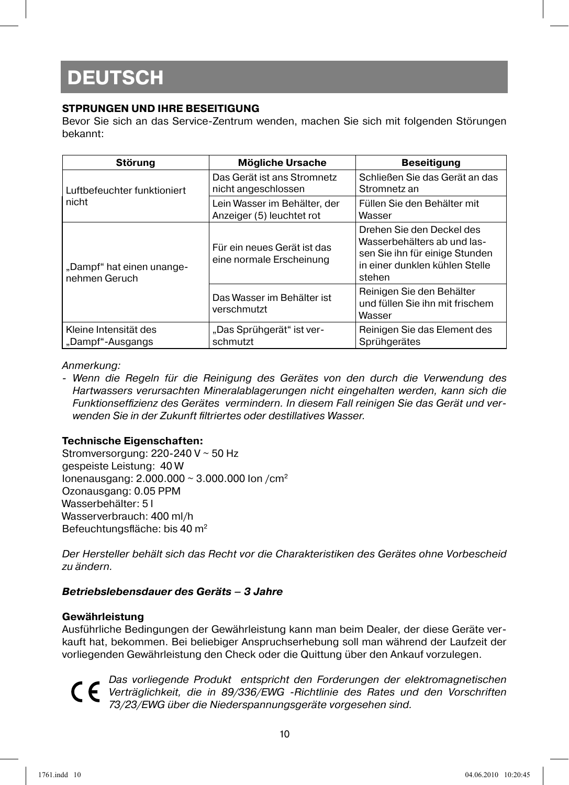### **STPRUNGEN UND IHRE BESEITIGUNG**

Bevor Sie sich an das Service-Zentrum wenden, machen Sie sich mit folgenden Störungen bekannt:

| <b>Störung</b>                             | <b>Mögliche Ursache</b>                                                                              | <b>Beseitigung</b>                                                                                                                     |
|--------------------------------------------|------------------------------------------------------------------------------------------------------|----------------------------------------------------------------------------------------------------------------------------------------|
| Luftbefeuchter funktioniert<br>nicht       | Das Gerät ist ans Stromnetz<br>nicht angeschlossen                                                   | Schließen Sie das Gerät an das<br>Stromnetz an                                                                                         |
|                                            | Lein Wasser im Behälter, der<br>Anzeiger (5) leuchtet rot                                            | Füllen Sie den Behälter mit<br>Wasser                                                                                                  |
| "Dampf" hat einen unange-<br>nehmen Geruch | Für ein neues Gerät ist das<br>eine normale Erscheinung<br>Das Wasser im Behälter ist<br>verschmutzt | Drehen Sie den Deckel des<br>Wasserbehälters ab und las-<br>sen Sie ihn für einige Stunden<br>in einer dunklen kühlen Stelle<br>stehen |
|                                            |                                                                                                      | Reinigen Sie den Behälter<br>und füllen Sie ihn mit frischem<br>Wasser                                                                 |
| Kleine Intensität des<br>"Dampf"-Ausgangs  | "Das Sprühgerät" ist ver-<br>schmutzt                                                                | Reinigen Sie das Element des<br>Sprühgerätes                                                                                           |

Anmerkung:

- Wenn die Regeln für die Reinigung des Gerätes von den durch die Verwendung des Hartwassers verursachten Mineralablagerungen nicht eingehalten werden, kann sich die Funktionseffizienz des Gerätes vermindern. In diesem Fall reinigen Sie das Gerät und verwenden Sie in der Zukunft filtriertes oder destillatives Wasser.

### **Technische Eigenschaften:**

Stromversorgung: 220-240 V ~ 50 Hz gespeiste Leistung: 40 W Ionenausgang: 2.000.000 ~ 3.000.000 Ion /cm2 Ozonausgang: 0.05 PPM Wasserbehälter: 5 l Wasserverbrauch: 400 ml/h Befeuchtungsfläche: bis 40 m<sup>2</sup>

Der Hersteller behält sich das Recht vor die Charakteristiken des Gerätes ohne Vorbescheid zu ändern.

### *Betriebslebensdauer des Geräts – 3 Jahre*

### **Gewährleistung**

Ausführliche Bedingungen der Gewährleistung kann man beim Dealer, der diese Geräte verkauft hat, bekommen. Bei beliebiger Anspruchserhebung soll man während der Laufzeit der vorliegenden Gewährleistung den Check oder die Quittung über den Ankauf vorzulegen.



Das vorliegende Produkt entspricht den Forderungen der elektromagnetischen Verträglichkeit, die in 89/336/EWG -Richtlinie des Rates und den Vorschriften 73/23/EWG über die Niederspannungsgeräte vorgesehen sind.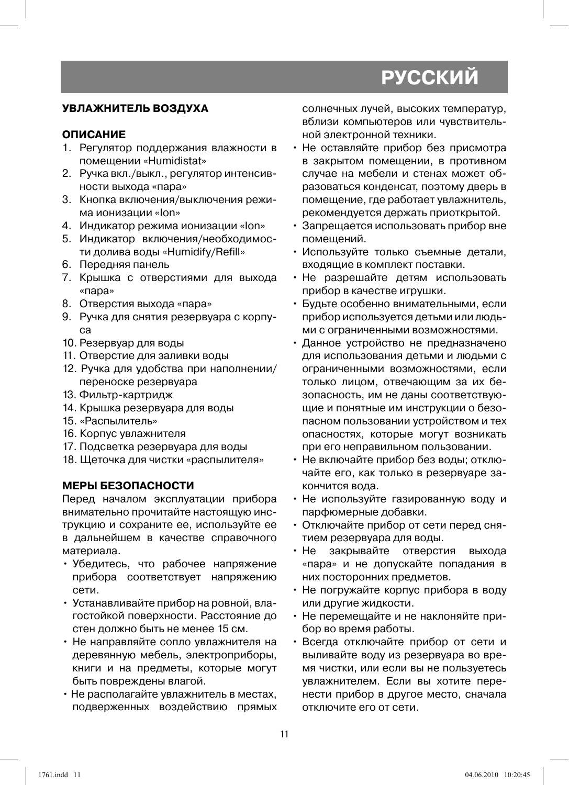# **УВЛАЖНИТЕЛЬ ВОЗДУХА**

## **ОПИСАНИЕ**

- 1. Регулятор поддержания влажности в помещении «Humidistat»
- 2. Ручка вкл./выкл., регулятор интенсивности выхода «пара»
- 3. Кнопка включения/выключения режима ионизации «Ion»
- 4. Индикатор режима ионизации «Ion»
- 5. Индикатор включения/необходимости долива воды «Humidify/Refill»
- 6. Передняя панель
- 7. Крышка с отверстиями для выхода «пара»
- 8. Отверстия выхода «пара»
- 9. Ручка для снятия резервуара с корпуса
- 10. Резервуар для воды
- 11. Отверстие для заливки воды
- 12. Ручка для удобства при наполнении/ переноске резервуара
- 13. Фильтр-картридж
- 14. Крышка резервуара для воды
- 15. «Распылитель»
- 16. Корпус увлажнителя
- 17. Подсветка резервуара для воды
- 18. Щеточка для чистки «распылителя»

# **МЕРЫ БЕЗОПАСНОСТИ**

Перед началом эксплуатации прибора внимательно прочитайте настоящую инструкцию и сохраните ее, используйте ее в дальнейшем в качестве справочного материала.

- Убедитесь, что рабочее напряжение прибора соответствует напряжению сети.
- Устанавливайте прибор на ровной, влагостойкой поверхности. Расстояние до стен должно быть не менее 15 см.
- Не направляйте сопло увлажнителя на деревянную мебель, электроприборы, книги и на предметы, которые могут быть повреждены влагой.
- Не располагайте увлажнитель в местах, подверженных воздействию прямых

солнечных лучей, высоких температур, вблизи компьютеров или чувствительной электронной техники.

- Не оставляйте прибор без присмотра в закрытом помещении, в противном случае на мебели и стенах может образоваться конденсат, поэтому дверь в помещение, где работает увлажнитель, рекомендуется держать приоткрытой.
- Запрещается использовать прибор вне помещений.
- Используйте только съемные детали, входящие в комплект поставки.
- Не разрешайте детям использовать прибор в качестве игрушки.
- Будьте особенно внимательными, если прибор используется детьми или людьми с ограниченными возможностями.
- Данное устройство не предназначено для использования детьми и людьми с ограниченными возможностями, если только лицом, отвечающим за их безопасность, им не даны соответствующие и понятные им инструкции о безопасном пользовании устройством и тех опасностях, которые могут возникать при его неправильном пользовании.
- Не включайте прибор без воды; отключайте его, как только в резервуаре закончится вода.
- Не используйте газированную воду и парфюмерные добавки.
- Отключайте прибор от сети перед снятием резервуара для воды.
- Не закрывайте отверстия выхода «пара» и не допускайте попадания в них посторонних предметов.
- Не погружайте корпус прибора в воду или другие жидкости.
- Не перемещайте и не наклоняйте прибор во время работы.
- Всегда отключайте прибор от сети и выливайте воду из резервуара во время чистки, или если вы не пользуетесь увлажнителем. Если вы хотите перенести прибор в другое место, сначала отключите его от сети.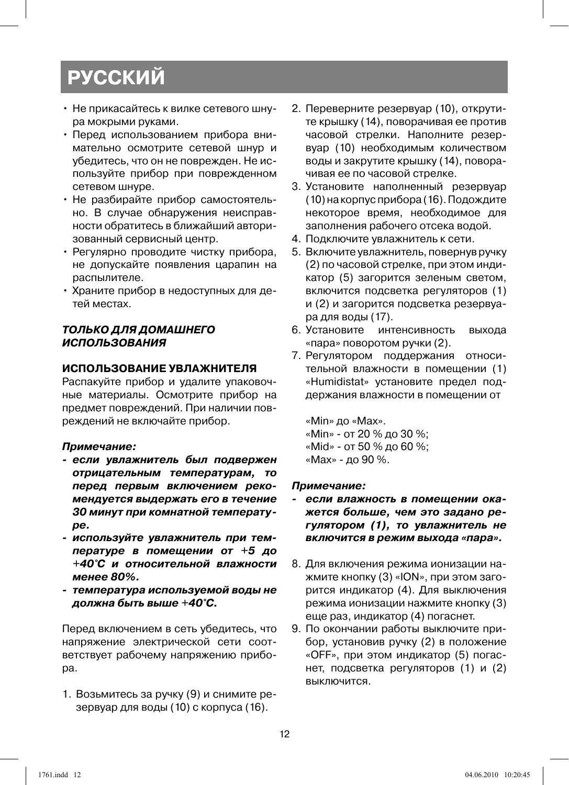- Не прикасайтесь к вилке сетевого шнура мокрыми руками.
- Перед использованием прибора внимательно осмотрите сетевой шнур и убедитесь, что он не поврежден. Не используйте прибор при поврежденном сетевом шнуре.
- Не разбирайте прибор самостоятельно. В случае обнаружения неисправности обратитесь в ближайший авторизованный сервисный центр.
- Регулярно проводите чистку прибора, не допускайте появления царапин на распылителе.
- Храните прибор в недоступных для детей местах.

### *ТОЛЬКО ДЛЯ ДОМАШНЕГО ИСПОЛЬЗОВАНИЯ*

### **ИСПОЛЬЗОВАНИЕ УВЛАЖНИТЕЛЯ**

Распакуйте прибор и удалите упаковочные материалы. Осмотрите прибор на предмет повреждений. При наличии повреждений не включайте прибор.

### *Примечание:*

- *если увлажнитель был подвержен отрицательным температурам, то перед первым включением рекомендуется выдержать его в течение 30 минут при комнатной температуре.*
- *используйте увлажнитель при температуре в помещении от +5 до +40°С и относительной влажности менее 80%.*
- *температура используемой воды не должна быть выше +40°С.*

Перед включением в сеть убедитесь, что напряжение электрической сети соответствует рабочему напряжению прибора.

1. Возьмитесь за ручку (9) и снимите резервуар для воды (10) с корпуса (16).

- 2. Переверните резервуар (10), открутите крышку (14), поворачивая ее против часовой стрелки. Наполните резервуар (10) необходимым количеством воды и закрутите крышку (14), поворачивая ее по часовой стрелке.
- 3. Установите наполненный резервуар (10) на корпус прибора (16). Подождите некоторое время, необходимое для заполнения рабочего отсека водой.
- 4. Подключите увлажнитель к сети.
- 5. Включите увлажнитель, повернув ручку (2) по часовой стрелке, при этом индикатор (5) загорится зеленым светом, включится подсветка регуляторов (1) и (2) и загорится подсветка резервуара для воды (17).
- 6. Установите интенсивность выхода «пара» поворотом ручки (2).
- 7. Регулятором поддержания относительной влажности в помещении (1) «Humidistat» установите предел поддержания влажности в помещении от

 «Min» до «Max». «Min» - от 20 % до 30 %; «Mid» - от 50 % до 60 %; «Max» - до 90 %.

### *Примечание:*

- *если влажность в помещении окажется больше, чем это задано регулятором (1), то увлажнитель не включится в режим выхода «пара».*
- 8. Для включения режима ионизации нажмите кнопку (3) «ION», при этом загорится индикатор (4). Для выключения режима ионизации нажмите кнопку (3) еще раз, индикатор (4) погаснет.
- 9. По окончании работы выключите прибор, установив ручку (2) в положение «OFF», при этом индикатор (5) погаснет, подсветка регуляторов (1) и (2) выключится.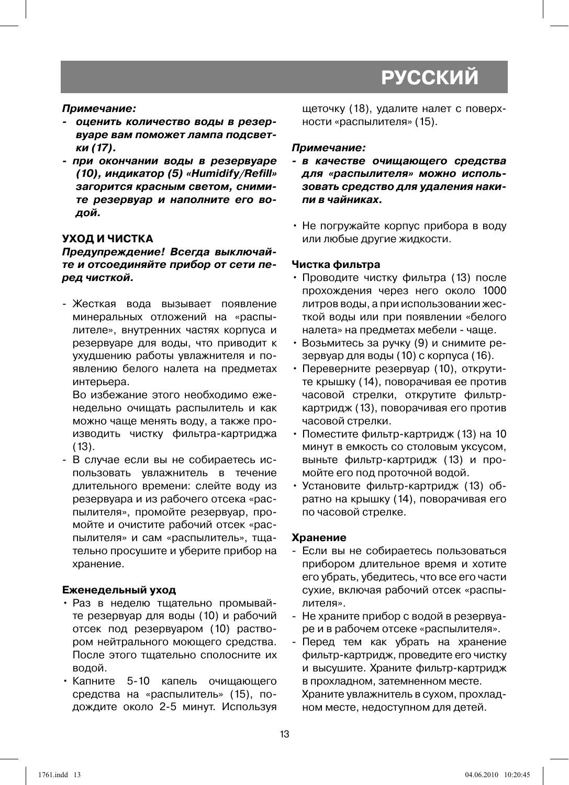### *Примечание:*

- *оценить количество воды в резервуаре вам поможет лампа подсветки (17).*
- *при окончании воды в резервуаре (10), индикатор (5) «Humidify/Refill» загорится красным светом, снимите резервуар и наполните его водой.*

## **УХОД И ЧИСТКА**

### *Предупреждение! Всегда выключайте и отсоединяйте прибор от сети перед чисткой.*

- Жесткая вода вызывает появление минеральных отложений на «распылителе», внутренних частях корпуса и резервуаре для воды, что приводит к ухудшению работы увлажнителя и появлению белого налета на предметах интерьера.

 Во избежание этого необходимо еженедельно очищать распылитель и как можно чаще менять воду, а также производить чистку фильтра-картриджа (13).

- В случае если вы не собираетесь использовать увлажнитель в течение длительного времени: слейте воду из резервуара и из рабочего отсека «распылителя», промойте резервуар, промойте и очистите рабочий отсек «распылителя» и сам «распылитель», тщательно просушите и уберите прибор на хранение.

## **Еженедельный уход**

- Раз в неделю тщательно промывайте резервуар для воды (10) и рабочий отсек под резервуаром (10) раствором нейтрального моющего средства. После этого тщательно сполосните их водой.
- Капните 5-10 капель очищающего средства на «распылитель» (15), подождите около 2-5 минут. Используя

щеточку (18), удалите налет с поверхности «распылителя» (15).

### *Примечание:*

- *в качестве очищающего средства для «распылителя» можно использовать средство для удаления накипи в чайниках.*
- Не погружайте корпус прибора в воду или любые другие жидкости.

## **Чистка фильтра**

- Проводите чистку фильтра (13) после прохождения через него около 1000 литров воды, а при использовании жесткой воды или при появлении «белого налета» на предметах мебели - чаще.
- Возьмитесь за ручку (9) и снимите резервуар для воды (10) с корпуса (16).
- Переверните резервуар (10), открутите крышку (14), поворачивая ее против часовой стрелки, открутите фильтркартридж (13), поворачивая его против часовой стрелки.
- Поместите фильтр-картридж (13) на 10 минут в емкость со столовым уксусом, выньте фильтр-картридж (13) и промойте его под проточной водой.
- Установите фильтр-картридж (13) обратно на крышку (14), поворачивая его по часовой стрелке.

# **Хранение**

- Если вы не собираетесь пользоваться прибором длительное время и хотите его убрать, убедитесь, что все его части сухие, включая рабочий отсек «распылителя».
- Не храните прибор с водой в резервуаре и в рабочем отсеке «распылителя».
- Перед тем как убрать на хранение фильтр-картридж, проведите его чистку и высушите. Храните фильтр-картридж в прохладном, затемненном месте. Храните увлажнитель в сухом, прохладном месте, недоступном для детей.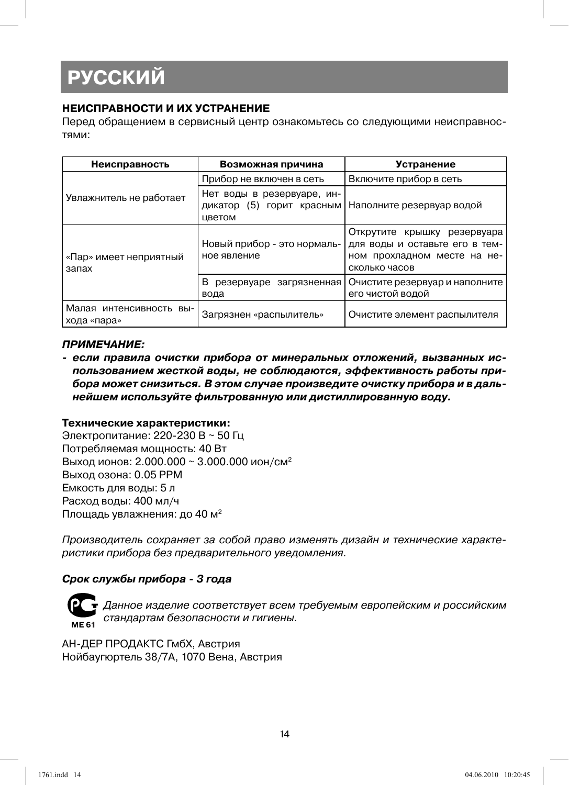### **НЕИСПРАВНОСТИ И ИХ УСТРАНЕНИЕ**

Перед обращением в сервисный центр ознакомьтесь со следующими неисправностями:

| Неисправность                          | Возможная причина                                                 | <b>Устранение</b>                                                                                             |
|----------------------------------------|-------------------------------------------------------------------|---------------------------------------------------------------------------------------------------------------|
|                                        | Прибор не включен в сеть                                          | Включите прибор в сеть                                                                                        |
| Увлажнитель не работает                | Нет воды в резервуаре, ин-<br>дикатор (5) горит красным<br>цветом | Наполните резервуар водой                                                                                     |
| «Пар» имеет неприятный<br>запах        | Новый прибор - это нормаль-<br>ное явление                        | Открутите крышку резервуара<br>для воды и оставьте его в тем-<br>ном прохладном месте на не-<br>сколько часов |
|                                        | в<br>резервуаре загрязненная<br>вода                              | Очистите резервуар и наполните<br>его чистой водой                                                            |
| Малая интенсивность вы-<br>хода «пара» | Загрязнен «распылитель»                                           | Очистите элемент распылителя                                                                                  |

### *ПРИМЕЧАНИЕ:*

*- если правила очистки прибора от минеральных отложений, вызванных использованием жесткой воды, не соблюдаются, эффективность работы прибора может снизиться. В этом случае произведите очистку прибора и в дальнейшем используйте фильтрованную или дистиллированную воду.*

### **Технические характеристики:**

Электропитание: 220-230 В ~ 50 Гц Потребляемая мощность: 40 Вт Выход ионов: 2.000.000 ~ 3.000.000 ион/см2 Выход озона: 0.05 PPM Емкость для воды: 5 л Расход воды: 400 мл/ч Площадь увлажнения: до 40 м2

Производитель сохраняет за собой право изменять дизайн и технические характеристики прибора без предварительного уведомления.

### *Срок службы прибора - 3 года*



Данное изделие соответствует всем требуемым европейским и российским стандартам безопасности и гигиены.

АН-ДЕР ПРОДАКТС ГмбХ, Австрия Нойбаугюртель 38/7А, 1070 Вена, Австрия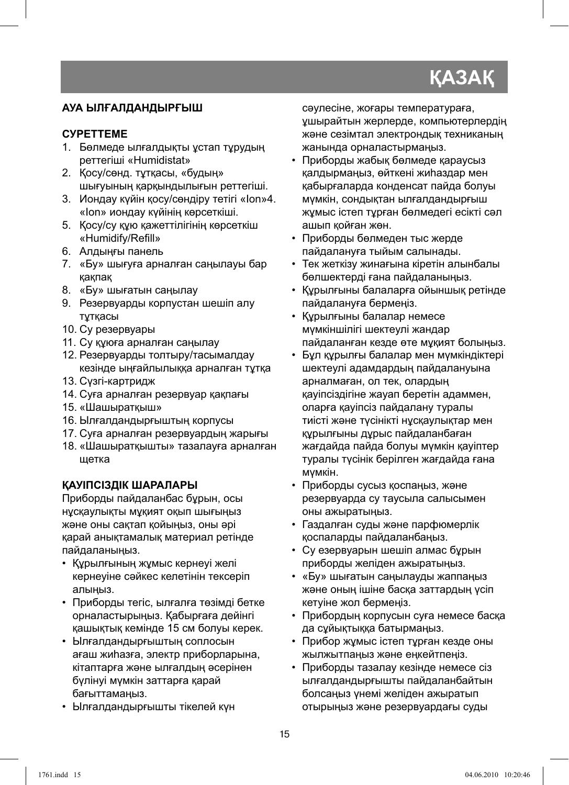# **КАЗАК**

# **АУА ЫЛҒАЛДАНДЫРҒЫШ**

# **СУРЕТТЕМЕ**

- 1. Бөлмеде ылғалдықты ұстап тұрудың реттегіші «Humidistat»
- 2. Қосу/сөнд. тұтқасы, «будың» шығуының қарқындылығын реттегіші.
- 3. Иондау күйін қосу/сөндіру тетігі «Ion»4. «Ion» иондау күйінің көрсеткіші.
- 5. Қосу/су құю қажеттілігінің көрсеткіш «Humidify/Refill»
- 6. Алдыңғы панель
- 7. «Бу» шығуға арналған саңылауы бар қақпақ
- 8. «Бу» шығатын саңылау
- 9. Резервуарды корпустан шешіп алу тұтқасы
- 10. Су резервуары
- 11. Су құюға арналған саңылау
- 12. Резервуарды толтыру/тасымалдау кезінде ыңғайлылыққа арналған тұтқа
- 13. Сүзгі-картридж
- 14. Суға арналған резервуар қақпағы
- 15. «Шашыратқыш»
- 16. Ылғалдандырғыштың корпусы
- 17. Суға арналған резервуардың жарығы
- 18. «Шашыратқышты» тазалауға арналған щетка

# **ҚАУІПСІЗДІК ШАРАЛАРЫ**

Приборды пайдаланбас бұрын, осы нұсқаулықты мұқият оқып шығыңыз жəне оны сақтап қойыңыз, оны əрі қарай анықтамалық материал ретінде пайдаланыңыз.

- Құрылғының жұмыс кернеуі желі кернеуіне сəйкес келетінін тексеріп алыңыз.
- Приборды тегіс, ылғалға төзімді бетке орналастырыңыз. Қабырғаға дейінгі қашықтық кемінде 15 см болуы керек.
- Ылғалдандырғыштың соплосын ағаш жиһазға, электр приборларына, кітаптарға жəне ылғалдың əсерінен бүлінуі мүмкін заттарға қарай бағыттамаңыз.
- Ылғалдандырғышты тікелей күн

сəулесіне, жоғары температураға, ұшырайтын жерлерде, компьютерлердің жəне сезімтал электрондық техниканың жанында орналастырмаңыз.

- Приборды жабық бөлмеде қараусыз қалдырмаңыз, өйткені жиһаздар мен қабырғаларда конденсат пайда болуы мүмкін, сондықтан ылғалдандырғыш жұмыс істеп тұрған бөлмедегі есікті сəл ашып қойған жөн.
- Приборды бөлмеден тыс жерде пайдалануға тыйым салынады.
- Тек жеткізу жинағына кіретін алынбалы бөлшектерді ғана пайдаланыңыз.
- Құрылғыны балаларға ойыншық ретінде пайдалануға бермеңіз.
- Құрылғыны балалар немесе мүмкіншілігі шектеулі жандар пайдаланған кезде өте мұқият болыңыз.
- Бұл құрылғы балалар мен мүмкіндіктері шектеулі адамдардың пайдалануына арналмаған, ол тек, олардың қауіпсіздігіне жауап беретін адаммен, оларға қауіпсіз пайдалану туралы тиісті жəне түсінікті нұсқаулықтар мен құрылғыны дұрыс пайдаланбаған жағдайда пайда болуы мүмкін қауіптер туралы түсінік берілген жағдайда ғана мүмкін.
- Приборды сусыз қоспаңыз, жəне резервуарда су таусыла салысымен оны ажыратыңыз.
- Газдалған суды жəне парфюмерлік қоспаларды пайдаланбаңыз.
- Су езервуарын шешіп алмас бұрын приборды желіден ажыратыңыз.
- «Бу» шығатын саңылауды жаппаңыз жəне оның ішіне басқа заттардың үсіп кетуіне жол бермеңіз.
- Прибордың корпусын суға немесе басқа да сұйықтыққа батырмаңыз.
- Прибор жұмыс істеп тұрған кезде оны жылжытпаңыз жəне еңкейтпеңіз.
- Приборды тазалау кезінде немесе сіз ылғалдандырғышты пайдаланбайтын болсаңыз үнемі желіден ажыратып отырыңыз жəне резервуардағы суды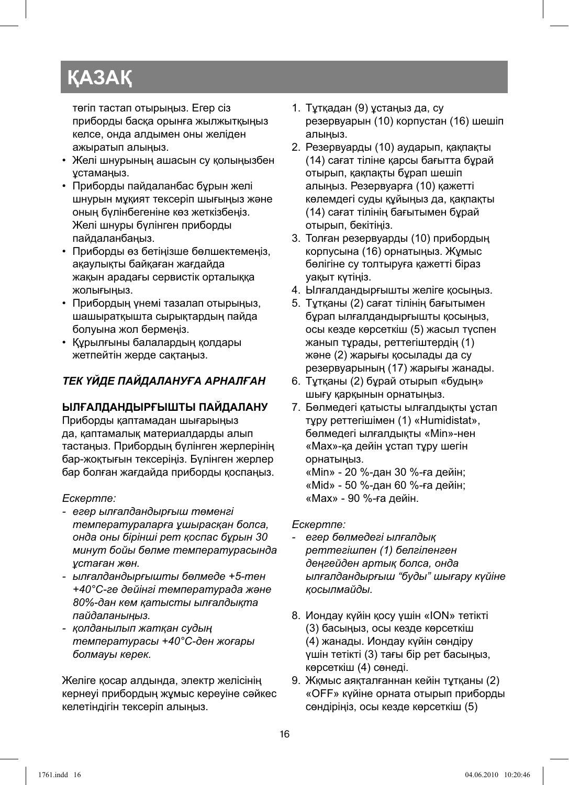# **ҚАЗАҚ**

төгіп тастап отырыңыз. Егер сіз приборды басқа орынға жылжытқыңыз келсе, онда алдымен оны желіден ажыратып алыңыз.

- Желі шнурының ашасын су қолыңызбен ұстамаңыз.
- Приборды пайдаланбас бұрын желі шнурын мұқият тексеріп шығыңыз жəне оның бүлінбегеніне көз жеткізбеңіз. Желі шнуры бүлінген приборды пайдаланбаңыз.
- Приборды өз бетіңізше бөлшектемеңіз, ақаулықты байқаған жағдайда жақын арадағы сервистік орталыққа жолығыңыз.
- Прибордың үнемі тазалап отырыңыз, шашыратқышта сырықтардың пайда болуына жол бермеңіз.
- Құрылғыны балалардың қолдары жетпейтін жерде сақтаңыз.

# *ТЕК ҮЙДЕ ПАЙДАЛАНУҒА АРНАЛҒАН*

## **ЫЛҒАЛДАНДЫРҒЫШТЫ ПАЙДАЛАНУ**

Приборды қаптамадан шығарыңыз да, қаптамалық материалдарды алып тастаңыз. Прибордың бүлінген жерлерінің бар-жоқтығын тексеріңіз. Бүлінген жерлер бар болған жағдайда приборды қоспаңыз.

### *Ескертпе:*

- *егер ылғалдандырғыш төменгі температураларға ұшырасқан болса, онда оны бірінші рет қоспас бұрын 30 минут бойы бөлме температурасында ұстаған жөн.*
- *ылғалдандырғышты бөлмеде +5-тен +40°С-ге дейінгі температурада жəне 80%-дан кем қатысты ылғалдықта пайдаланыңыз.*
- *қолданылып жатқан судың температурасы +40°С-ден жоғары болмауы керек.*

Желіге қосар алдында, электр желісінің кернеуі прибордың жұмыс кереуіне сəйкес келетіндігін тексеріп алыңыз.

- 1. Тұтқадан (9) ұстаңыз да, су резервуарын (10) корпустан (16) шешіп алыңыз.
- 2. Резервуарды (10) аударып, қақпақты (14) сағат тіліне қарсы бағытта бұрай отырып, қақпақты бұрап шешіп алыңыз. Резервуарға (10) қажетті көлемдегі суды құйыңыз да, қақпақты (14) сағат тілінің бағытымен бұрай отырып, бекітіңіз.
- 3. Толған резервуарды (10) прибордың корпусына (16) орнатыңыз. Жұмыс бөлігіне су толтыруға қажетті біраз уақыт күтіңіз.
- 4. Ылғалдандырғышты желіге қосыңыз.
- 5. Тұтқаны (2) сағат тілінің бағытымен бұрап ылғалдандырғышты қосыңыз, осы кезде көрсеткіш (5) жасыл түспен жанып тұрады, реттегіштердің (1) жəне (2) жарығы қосылады да су резервуарының (17) жарығы жанады.
- 6. Тұтқаны (2) бұрай отырып «будың» шығу қарқынын орнатыңыз.
- 7. Бөлмедегі қатысты ылғалдықты ұстап тұру реттегішімен (1) «Humidistat», бөлмедегі ылғалдықты «Min»-нен «Max»-қа дейін ұстап тұру шегін орнатыңыз.

 «Min» - 20 %-дан 30 %-ға дейін; «Mid» - 50 %-дан 60 %-ға дейін; «Max» - 90 %-ға дейін.

### *Ескертпе:*

- *егер бөлмедегі ылғалдық реттегішпен (1) белгіленген деңгейден артық болса, онда ылғалдандырғыш "буды" шығару күйіне қосылмайды.*
- 8. Иондау күйін қосу үшін «ION» тетікті (3) басыңыз, осы кезде көрсеткіш (4) жанады. Иондау күйін сөндіру үшін тетікті (3) тағы бір рет басыңыз, көрсеткіш (4) сөнеді.
- 9. Жқмыс аяқталғаннан кейін тұтқаны (2) «OFF» күйіне орната отырып приборды сөндіріңіз, осы кезде көрсеткіш (5)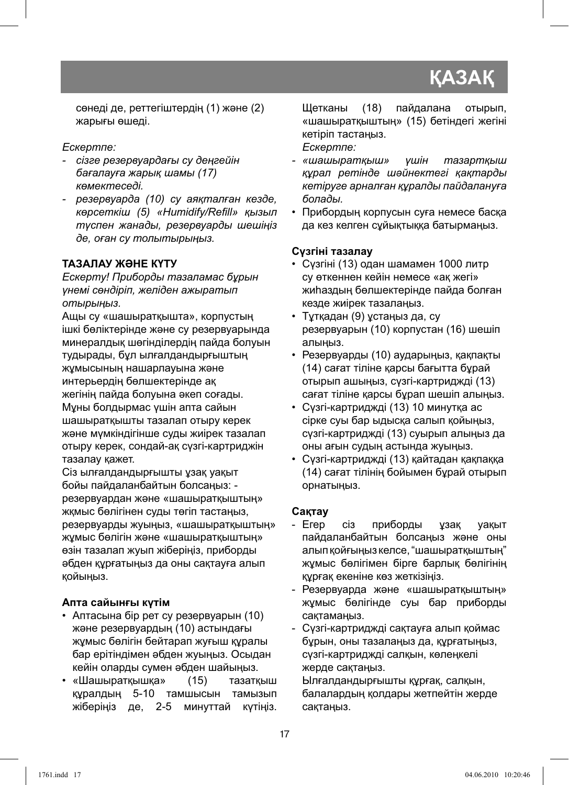# **ҚАЗАҚ**

сөнеді де, реттегіштердің (1) жəне (2) жарығы өшеді.

*Ескертпе:*

- *сізге резервуардағы су деңгейін бағалауға жарық шамы (17) көмектеседі.*
- *резервуарда (10) су аяқталған кезде, көрсеткіш (5) «Humidify/Refi ll» қызыл түспен жанады, резервуарды шешіңіз де, оған су толытырыңыз.*

# **ТАЗАЛАУ ЖƏНЕ КҮТУ**

*Ескерту! Приборды тазаламас бұрын үнемі сөндіріп, желіден ажыратып отырыңыз.*

Ащы су «шашыратқышта», корпустың ішкі бөліктерінде жəне су резервуарында минералдық шөгінділердің пайда болуын тудырады, бұл ылғалдандырғыштың жұмысының нашарлауына жəне интерьердің бөлшектерінде ақ жегінің пайда болуына əкеп соғады. Мұны болдырмас үшін апта сайын шашыратқышты тазалап отыру керек жəне мүмкіндігінше суды жиірек тазалап отыру керек, сондай-ақ сүзгі-картриджін тазалау қажет.

Сіз ылғалдандырғышты ұзақ уақыт бойы пайдаланбайтын болсаңыз: резервуардан жəне «шашыратқыштың» жқмыс бөлігінен суды төгіп тастаңыз, резервуарды жуыңыз, «шашыратқыштың» жұмыс бөлігін жəне «шашыратқыштың» өзін тазалап жуып жіберіңіз, приборды əбден құрғатыңыз да оны сақтауға алып қойыңыз.

# **Апта сайынғы күтім**

- Аптасына бір рет су резервуарын (10) жəне резервуардың (10) астындағы жұмыс бөлігін бейтарап жуғыш құралы бар ерітіндімен əбден жуыңыз. Осыдан кейін оларды сумен əбден шайыңыз.
- «Шашыратқышқа» (15) тазатқыш құралдың 5-10 тамшысын тамызып жіберіңіз де, 2-5 минуттай күтіңіз.

Щетканы (18) пайдалана отырып, «шашыратқыштың» (15) бетіндегі жегіні кетіріп тастаңыз.  *Ескертпе:*

- *«шашыратқыш» үшін тазартқыш құрал ретінде шəйнектегі қақтарды кетіруге арналған құралды пайдалануға болады.*
- Прибордың корпусын суға немесе басқа да кез келген сұйықтыққа батырмаңыз.

# **Сүзгіні тазалау**

- Сүзгіні (13) одан шамамен 1000 литр су өткеннен кейін немесе «ақ жегі» жиһаздың бөлшектерінде пайда болған кезде жиірек тазалаңыз.
- Тұтқадан (9) ұстаңыз да, су резервуарын (10) корпустан (16) шешіп алыңыз.
- Резервуарды (10) аударыңыз, қақпақты (14) сағат тіліне қарсы бағытта бұрай отырып ашыңыз, сүзгі-картриджді (13) сағат тіліне қарсы бұрап шешіп алыңыз.
- Сүзгі-картриджді (13) 10 минутқа ас сірке суы бар ыдысқа салып қойыңыз, сүзгі-картриджді (13) суырып алыңыз да оны ағын судың астында жуыңыз.
- Сүзгі-картриджді (13) қайтадан қақпаққа (14) сағат тілінің бойымен бұрай отырып орнатыңыз.

# **Сақтау**

- Егер сіз приборды ұзақ уақыт пайдаланбайтын болсаңыз жəне оны алып қойғыңыз келсе, "шашыратқыштың" жұмыс бөлігімен бірге барлық бөлігінің құрғақ екеніне көз жеткізіңіз.
- Резервуарда жəне «шашыратқыштың» жұмыс бөлігінде суы бар приборды сақтамаңыз.
- Сүзгі-картриджді сақтауға алып қоймас бұрын, оны тазалаңыз да, құрғатыңыз, сүзгі-картриджді салқын, көлеңкелі жерде сақтаңыз.

 Ылғалдандырғышты құрғақ, салқын, балалардың қолдары жетпейтін жерде сақтаңыз.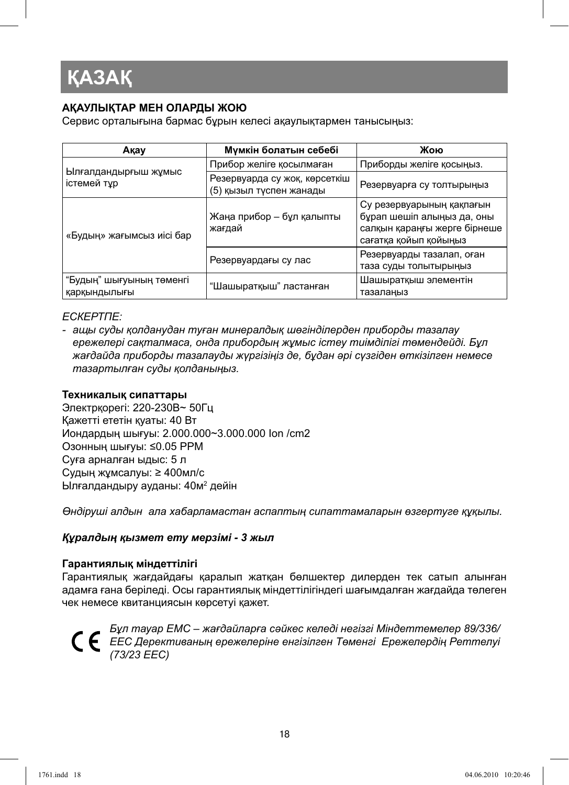# **ҚАЗАҚ**

### **АҚАУЛЫҚТАР МЕН ОЛАРДЫ ЖОЮ**

Сервис орталығына бармас бұрын келесі ақаулықтармен танысыңыз:

| Ақау                                     | Мүмкін болатын себебі                                    | Жою                                                                                                              |
|------------------------------------------|----------------------------------------------------------|------------------------------------------------------------------------------------------------------------------|
|                                          | Прибор желіге қосылмаған                                 | Приборды желіге қосыңыз.                                                                                         |
| Ылғалдандырғыш жұмыс<br>істемей тұр      | Резервуарда су жоқ, көрсеткіш<br>(5) қызыл түспен жанады | Резервуарға су толтырыңыз                                                                                        |
| «Будың» жағымсыз иісі бар                | Жаңа прибор – бұл қалыпты<br>жағдай                      | Су резервуарының қақпағын<br>бұрап шешіп алыңыз да, оны<br>салқын қараңғы жерге бірнеше<br>сағатқа қойып қойыңыз |
|                                          | Резервуардағы су лас                                     | Резервуарды тазалап, оған<br>таза суды толытырыңыз                                                               |
| "Будың" шығуының төменгі<br>қарқындылығы | "Шашыратқыш" ластанған                                   | Шашыратқыш элементін<br>тазалаңыз                                                                                |

### *ЕСКЕРТПЕ:*

*- ащы суды қолданудан туған минералдық шөгінділерден приборды тазалау ережелері сақталмаса, онда прибордың жұмыс істеу тиімділігі төмендейді. Бұл жағдайда приборды тазалауды жүргізіңіз де, бұдан əрі сүзгіден өткізілген немесе тазартылған суды қолданыңыз.*

### **Техникалық сипаттары**

Электрқорегі: 220-230В~ 50Гц Қажетті ететін қуаты: 40 Вт Иондардың шығуы: 2.000.000~3.000.000 Ion /cm2 Озонның шығуы: ≤0.05 PPM Суға арналған ыдыс: 5 л Судың жұмсалуы: ≥ 400мл/с Ылғалдандыру ауданы: 40м<sup>2</sup> дейін

*Өндіруші алдын ала хабарламастан аспаптың сипаттамаларын өзгертуге құқылы.*

### *Құралдың қызмет ету мерзімі - 3 жыл*

### **Гарантиялық мiндеттiлiгi**

Гарантиялық жағдайдағы қаралып жатқан бөлшектер дилерден тек сатып алынған адамға ғана берiледi. Осы гарантиялық мiндеттiлiгiндегi шағымдалған жағдайда төлеген чек немесе квитанциясын көрсетуi қажет.



*Бұл тауар ЕМС – жағдайларға сəйкес келедi негiзгi Мiндеттемелер 89/336/ EEC Дерективаның ережелерiне енгiзiлген Төменгi Ережелердiң Реттелуi (73/23 EEC)*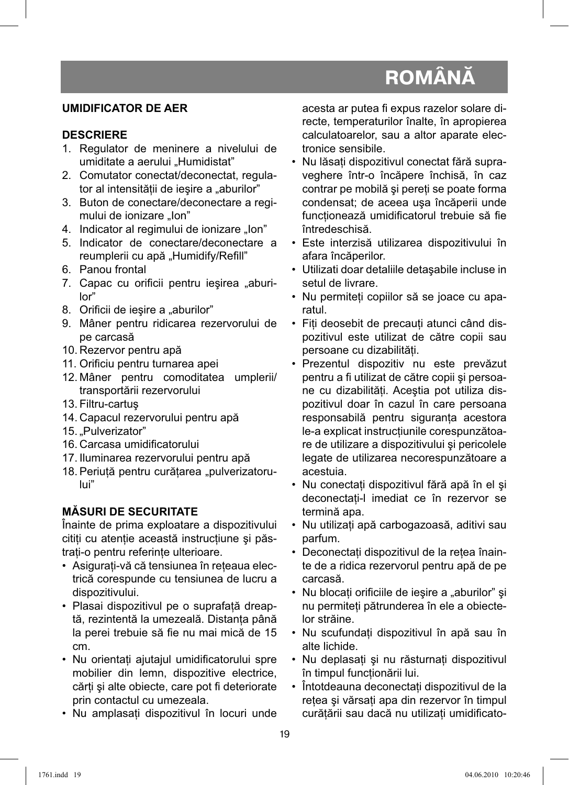# **UMIDIFICATOR DE AER**

# **DESCRIERE**

- 1. Regulator de meninere a nivelului de umiditate a aerului "Humidistat"
- 2. Comutator conectat/deconectat, regulator al intensității de ieșire a "aburilor"
- 3. Buton de conectare/deconectare a regimului de ionizare "Ion"
- 4. Indicator al regimului de ionizare "Ion"
- 5. Indicator de conectare/deconectare a reumplerii cu apă "Humidify/Refill"
- 6. Panou frontal
- 7. Capac cu orificii pentru ieşirea "aburilor"
- 8. Orificii de ieșire a "aburilor"
- 9. Mâner pentru ridicarea rezervorului de pe carcasă
- 10. Rezervor pentru apă
- 11. Orificiu pentru turnarea apei
- 12. Mâner pentru comoditatea umplerii/ transportării rezervorului
- 13. Filtru-cartuş
- 14. Capacul rezervorului pentru apă
- 15. "Pulverizator"
- 16. Carcasa umidificatorului
- 17. Iluminarea rezervorului pentru apă
- 18. Periuță pentru curățarea "pulverizatorului"

# **MĂSURI DE SECURITATE**

Înainte de prima exploatare a dispozitivului cititi cu atentie această instructiune și păstrați-o pentru referințe ulterioare.

- Asiguraţi-vă că tensiunea în reţeaua electrică corespunde cu tensiunea de lucru a dispozitivului.
- Plasai dispozitivul pe o suprafată dreaptă, rezintentă la umezeală. Distanta până la perei trebuie să fie nu mai mică de 15 cm.
- Nu orientați ajutajul umidificatorului spre mobilier din lemn, dispozitive electrice, cărți și alte obiecte, care pot fi deteriorate prin contactul cu umezeala.
- Nu amplasați dispozitivul în locuri unde

acesta ar putea fi expus razelor solare directe, temperaturilor înalte, în apropierea calculatoarelor, sau a altor aparate electronice sensibile.

- Nu lăsaţi dispozitivul conectat fără supraveghere într-o încăpere închisă, în caz contrar pe mobilă şi pereţi se poate forma condensat; de aceea uşa încăperii unde functionează umidificatorul trebuie să fie întredeschisă.
- Este interzisă utilizarea dispozitivului în afara încăperilor.
- Utilizati doar detaliile detaşabile incluse in setul de livrare.
- Nu permiteti copiilor să se joace cu aparatul.
- Fiti deosebit de precauti atunci când dispozitivul este utilizat de către copii sau persoane cu dizabilități.
- Prezentul dispozitiv nu este prevăzut pentru a fi utilizat de către copii şi persoane cu dizabilități. Aceștia pot utiliza dispozitivul doar în cazul în care persoana responsabilă pentru siguranța acestora le-a explicat instructiunile corespunzătoare de utilizare a dispozitivului şi pericolele legate de utilizarea necorespunzătoare a acestuia.
- Nu conectaţi dispozitivul fără apă în el şi deconectati-l imediat ce în rezervor se termină apa.
- Nu utilizaţi apă carbogazoasă, aditivi sau parfum.
- Deconectaţi dispozitivul de la reţea înainte de a ridica rezervorul pentru apă de pe carcasă.
- Nu blocați orificiile de ieșire a "aburilor" și nu permiteti pătrunderea în ele a obiectelor străine.
- Nu scufundati dispozitivul în apă sau în alte lichide.
- Nu deplasaţi şi nu răsturnaţi dispozitivul în timpul funcţionării lui.
- Întotdeauna deconectaţi dispozitivul de la rețea și vărsați apa din rezervor în timpul curățării sau dacă nu utilizați umidificato-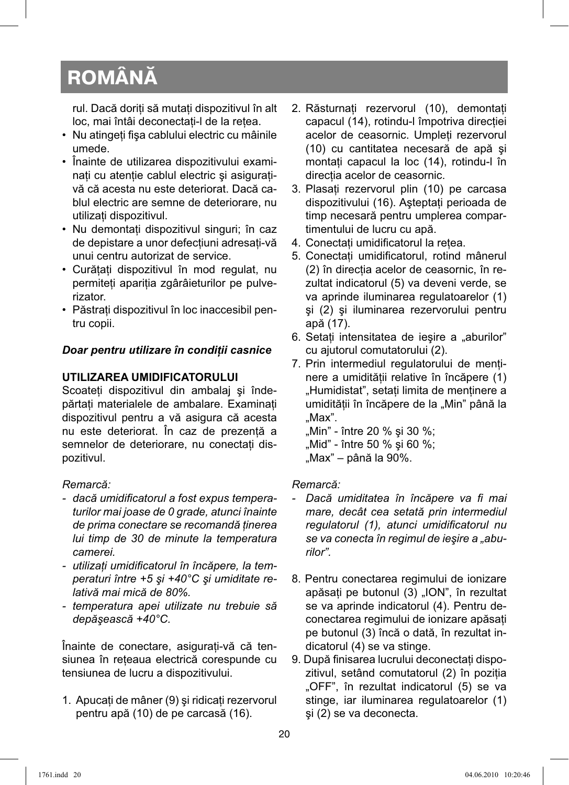rul. Dacă doriti să mutati dispozitivul în alt loc, mai întâi deconectaţi-l de la reţea.

- Nu atingeti fisa cablului electric cu mâinile umede.
- Înainte de utilizarea dispozitivului examinați cu atenție cablul electric și asigurațivă că acesta nu este deteriorat. Dacă cablul electric are semne de deteriorare, nu utilizati dispozitivul.
- Nu demontati dispozitivul singuri; în caz de depistare a unor defecțiuni adresati-vă unui centru autorizat de service.
- Curățați dispozitivul în mod regulat, nu permiteţi apariţia zgârâieturilor pe pulverizator.
- Păstraţi dispozitivul în loc inaccesibil pentru copii.

## *Doar pentru utilizare în condiţii casnice*

### **UTILIZAREA UMIDIFICATORULUI**

Scoateți dispozitivul din ambalaj și îndepărtați materialele de ambalare. Examinați dispozitivul pentru a vă asigura că acesta nu este deteriorat. În caz de prezentă a semnelor de deteriorare, nu conectati dispozitivul.

## *Remarcă:*

- *dacă umidifi catorul a fost expus temperaturilor mai joase de 0 grade, atunci înainte de prima conectare se recomandă ţinerea lui timp de 30 de minute la temperatura camerei.*
- *utilizaţi umidifi catorul în încăpere, la temperaturi între +5 şi +40°C şi umiditate relativă mai mică de 80%.*
- *temperatura apei utilizate nu trebuie să depăşească +40°C.*

Înainte de conectare, asiguraţi-vă că tensiunea în reţeaua electrică corespunde cu tensiunea de lucru a dispozitivului.

1. Apucaţi de mâner (9) şi ridicaţi rezervorul pentru apă (10) de pe carcasă (16).

- 2. Răsturnati rezervorul (10), demontati capacul (14), rotindu-l împotriva direcţiei acelor de ceasornic. Umpleti rezervorul (10) cu cantitatea necesară de apă şi montaţi capacul la loc (14), rotindu-l în direcția acelor de ceasornic.
- 3. Plasaţi rezervorul plin (10) pe carcasa dispozitivului (16). Aşteptați perioada de timp necesară pentru umplerea compartimentului de lucru cu apă.
- 4. Conectați umidificatorul la rețea.
- 5. Conectați umidificatorul, rotind mânerul (2) în direcţia acelor de ceasornic, în rezultat indicatorul (5) va deveni verde, se va aprinde iluminarea regulatoarelor (1) şi (2) şi iluminarea rezervorului pentru apă (17).
- 6. Setați intensitatea de ieșire a "aburilor" cu ajutorul comutatorului (2).
- 7. Prin intermediul regulatorului de menţinere a umidităţii relative în încăpere (1) "Humidistat", setaţi limita de menţinere a umidității în încăpere de la "Min" până la "Max".

..Min" - între 20 % și 30 %; "Mid" - între 50 % şi 60 %; "Max" – până la  $90\%$ .

### *Remarcă:*

- *Dacă umiditatea în încăpere va fi mai mare, decât cea setată prin intermediul*  regulatorul (1), atunci umidificatorul nu *se va conecta în regimul de ieşire a "aburilor".*
- 8. Pentru conectarea regimului de ionizare apăsați pe butonul (3) "ION", în rezultat se va aprinde indicatorul (4). Pentru deconectarea regimului de ionizare apăsați pe butonul (3) încă o dată, în rezultat indicatorul (4) se va stinge.
- 9. După finisarea lucrului deconectați dispozitivul, setând comutatorul (2) în poziția "OFF", în rezultat indicatorul (5) se va stinge, iar iluminarea regulatoarelor (1) şi (2) se va deconecta.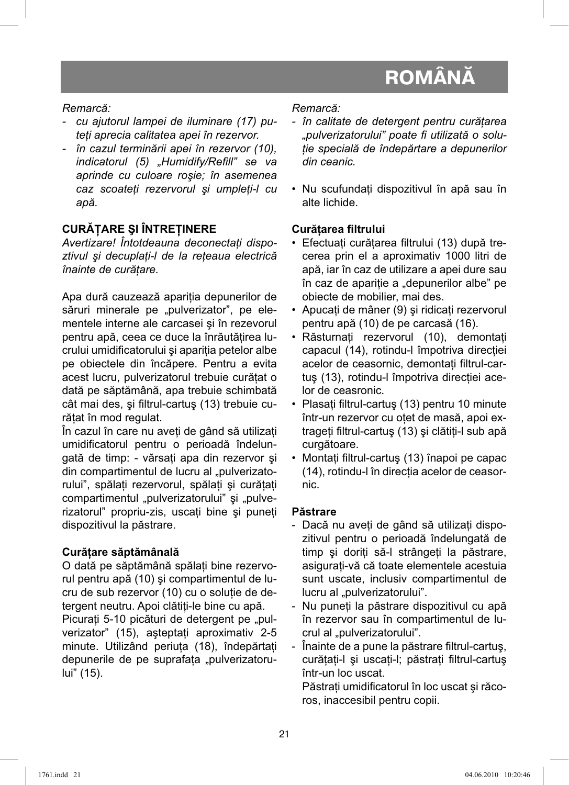## *Remarcă:*

- *cu ajutorul lampei de iluminare (17) puteţi aprecia calitatea apei în rezervor.*
- *în cazul terminării apei în rezervor (10), indicatorul* (5) "Humidify/Refill" se va *aprinde cu culoare roşie; în asemenea caz scoateţi rezervorul şi umpleţi-l cu apă.*

# **CURĂŢARE ŞI ÎNTREŢINERE**

*Avertizare! Întotdeauna deconectaţi dispoztivul şi decuplaţi-l de la reţeaua electrică înainte de curăţare.* 

Apa dură cauzează aparitia depunerilor de săruri minerale pe "pulverizator", pe elementele interne ale carcasei şi în rezevorul pentru apă, ceea ce duce la înrăutăţirea lucrului umidificatorului și apariția petelor albe pe obiectele din încăpere. Pentru a evita acest lucru, pulverizatorul trebuie curăţat o dată pe săptămână, apa trebuie schimbată cât mai des, și filtrul-cartuș (13) trebuie curătat în mod regulat.

În cazul în care nu aveti de gând să utilizati umidificatorul pentru o perioadă îndelungată de timp: - vărsaţi apa din rezervor şi din compartimentul de lucru al "pulverizatorului", spălaţi rezervorul, spălaţi şi curăţaţi compartimentul "pulverizatorului" și "pulverizatorul" propriu-zis, uscati bine și puneti dispozitivul la păstrare.

# **Curăţare săptămânală**

O dată pe săptămână spălaţi bine rezervorul pentru apă (10) şi compartimentul de lucru de sub rezervor (10) cu o soluţie de detergent neutru. Apoi clătiti-le bine cu apă. Picurați 5-10 picături de detergent pe "pulverizator" (15), asteptati aproximativ 2-5 minute. Utilizând periuţa (18), îndepărtaţi depunerile de pe suprafața "pulverizatorului" (15).

# *Remarcă:*

- *în calitate de detergent pentru curăţarea "pulverizatorului" poate fi utilizată o soluţie specială de îndepărtare a depunerilor din ceanic.*
- Nu scufundaţi dispozitivul în apă sau în alte lichide.

# **Curăţarea fi ltrului**

- Efectuați curățarea filtrului (13) după trecerea prin el a aproximativ 1000 litri de apă, iar în caz de utilizare a apei dure sau în caz de apariție a "depunerilor albe" pe obiecte de mobilier, mai des.
- Apucaţi de mâner (9) şi ridicaţi rezervorul pentru apă (10) de pe carcasă (16).
- Răsturnaţi rezervorul (10), demontaţi capacul (14), rotindu-l împotriva direcţiei acelor de ceasornic, demontați filtrul-cartuş (13), rotindu-l împotriva direcţiei acelor de ceasronic.
- Plasați filtrul-cartuș (13) pentru 10 minute într-un rezervor cu otet de masă, apoi extrageți filtrul-cartuș (13) și clătiți-l sub apă curgătoare.
- Montați filtrul-cartuș (13) înapoi pe capac (14), rotindu-l în direcţia acelor de ceasornic.

# **Păstrare**

- Dacă nu aveţi de gând să utilizaţi dispozitivul pentru o perioadă îndelungată de timp și doriți să-l strângeți la păstrare, asiguraţi-vă că toate elementele acestuia sunt uscate, inclusiv compartimentul de lucru al "pulverizatorului".
- Nu puneti la păstrare dispozitivul cu apă în rezervor sau în compartimentul de lucrul al "pulverizatorului".
- Înainte de a pune la păstrare filtrul-cartus, curățați-l și uscați-l; păstrați filtrul-cartuș într-un loc uscat.

Păstrați umidificatorul în loc uscat și răcoros, inaccesibil pentru copii.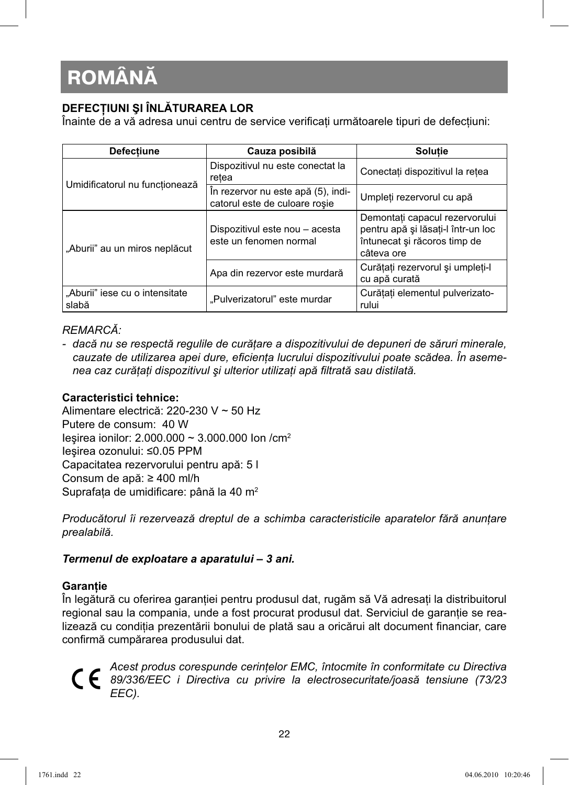# **DEFECŢIUNI ŞI ÎNLĂTURAREA LOR**

Înainte de a vă adresa unui centru de service verificați următoarele tipuri de defecțiuni:

| <b>Defectiune</b>                       | Cauza posibilă                                                      | <b>Solutie</b>                                                                                                     |
|-----------------------------------------|---------------------------------------------------------------------|--------------------------------------------------------------------------------------------------------------------|
| Umidificatorul nu functionează          | Dispozitivul nu este conectat la<br>retea                           | Conectați dispozitivul la rețea                                                                                    |
|                                         | In rezervor nu este apă (5), indi-<br>catorul este de culoare rosie | Umpleți rezervorul cu apă                                                                                          |
| "Aburii" au un miros neplăcut           | Dispozitivul este nou - acesta<br>este un fenomen normal            | Demontați capacul rezervorului<br>pentru apă și lăsați-l într-un loc<br>întunecat și răcoros timp de<br>câteva ore |
|                                         | Apa din rezervor este murdară                                       | Curățați rezervorul și umpleți-l<br>cu apă curată                                                                  |
| "Aburii" iese cu o intensitate<br>slabă | "Pulverizatorul" este murdar                                        | Curătati elementul pulverizato-<br>rului                                                                           |

## *REMARCĂ:*

*- dacă nu se respectă regulile de curăţare a dispozitivului de depuneri de săruri minerale,*  cauzate de utilizarea apei dure, eficienta lucrului dispozitivului poate scădea. În aseme*nea caz curăţaţi dispozitivul şi ulterior utilizaţi apă fi ltrată sau distilată.* 

### **Caracteristici tehnice:**

Alimentare electrică: 220-230 V ~ 50 Hz Putere de consum: 40 W Ieşirea ionilor: 2.000.000 ~ 3.000.000 Ion /cm2 Ieşirea ozonului: ≤0.05 PPM Capacitatea rezervorului pentru apă: 5 l Consum de apă: ≥ 400 ml/h Suprafața de umidificare: până la 40 m<sup>2</sup>

*Producătorul îi rezervează dreptul de a schimba caracteristicile aparatelor fără anunţare prealabilă.* 

### *Termenul de exploatare a aparatului – 3 ani.*

### **Garanţie**

În legătură cu oferirea garanţiei pentru produsul dat, rugăm să Vă adresaţi la distribuitorul regional sau la compania, unde a fost procurat produsul dat. Serviciul de garanție se realizează cu condiția prezentării bonului de plată sau a oricărui alt document financiar, care confirmă cumpărarea produsului dat.



*Acest produs corespunde cerinţelor EMC, întocmite în conformitate cu Directiva 89/336/EEC i Directiva cu privire la electrosecuritate/joasă tensiune (73/23 EEC).*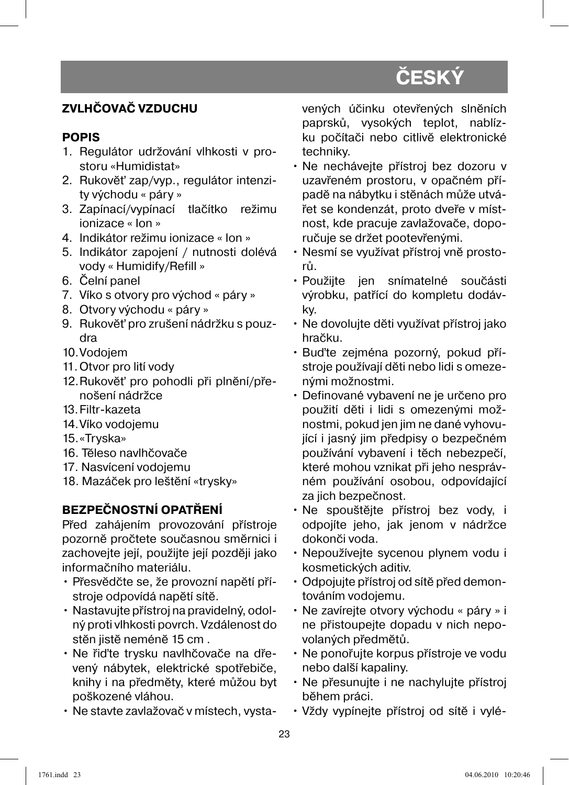# **ČESKÝ**

# **ZVLHČOVAČ VZDUCHU**

# **POPIS**

- 1. Regulátor udržování vlhkosti v prostoru «Humidistat»
- 2. Rukověť zap/vyp., regulátor intenzity východu « páry »
- 3. Zapínací/vypínací tlačítko režimu ionizace « Ion »
- 4. Indikátor režimu ionizace « Ion »
- 5. Indikátor zapojení / nutnosti dolévá vody « Humidify/Refill »
- 6. Čelní panel
- 7. Víko s otvory pro východ « páry »
- 8. Otvory východu « páry »
- 9. Rukověť pro zrušení nádržku s pouzdra
- 10. Vodojem
- 11. Otvor pro lití vody
- 12. Rukověť pro pohodli při plnění/přenošení nádržce
- 13. Filtr-kazeta
- 14. Víko vodojemu
- 15. «Tryska»
- 16. Těleso navlhčovače
- 17. Nasvícení vodojemu
- 18. Mazáček pro leštění «trysky»

# **BEZPEČNOSTNÍ OPATŘENÍ**

Před zahájením provozování přístroje pozorně pročtete současnou směrnici i zachovejte její, použijte její později jako informačního materiálu.

- Přesvědčte se, že provozní napětí přístroje odpovídá napětí sítě.
- Nastavujte přístroj na pravidelný, odolný proti vlhkosti povrch. Vzdálenost do stěn jistě neméně 15 cm .
- Ne řiďte trysku navlhčovače na dřevený nábytek, elektrické spotřebiče, knihy i na předměty, které můžou byt poškozené vláhou.
- Ne stavte zavlažovač v místech, vysta-

vených účinku otevřených slněních paprsků, vysokých teplot, nablízku počítači nebo citlivě elektronické techniky.

- Ne nechávejte přístroj bez dozoru v uzavřeném prostoru, v opačném případě na nábytku i stěnách může utvářet se kondenzát, proto dveře v místnost, kde pracuje zavlažovače, doporučuje se držet pootevřenými.
- Nesmí se využívat přístroj vně prostorů.
- Použijte jen snímatelné součásti výrobku, patřící do kompletu dodávky.
- Ne dovolujte děti využívat přístroj jako hračku.
- Buďte zejména pozorný, pokud přístroje používají děti nebo lidi s omezenými možnostmi.
- Definované vybavení ne je určeno pro použití děti i lidi s omezenými možnostmi, pokud jen jim ne dané vyhovující i jasný jim předpisy o bezpečném používání vybavení i těch nebezpečí, které mohou vznikat při jeho nesprávném používání osobou, odpovídající za jich bezpečnost.
- Ne spouštějte přístroj bez vody, i odpojíte jeho, jak jenom v nádržce dokonči voda.
- Nepoužívejte sycenou plynem vodu i kosmetických aditiv.
- Odpojujte přístroj od sítě před demontováním vodojemu.
- Ne zavírejte otvory východu « páry » i ne přistoupejte dopadu v nich nepovolaných předmětů.
- Ne ponořujte korpus přístroje ve vodu nebo další kapaliny.
- Ne přesunujte i ne nachylujte přístroj během práci.
- Vždy vypínejte přístroj od sítě i vylé-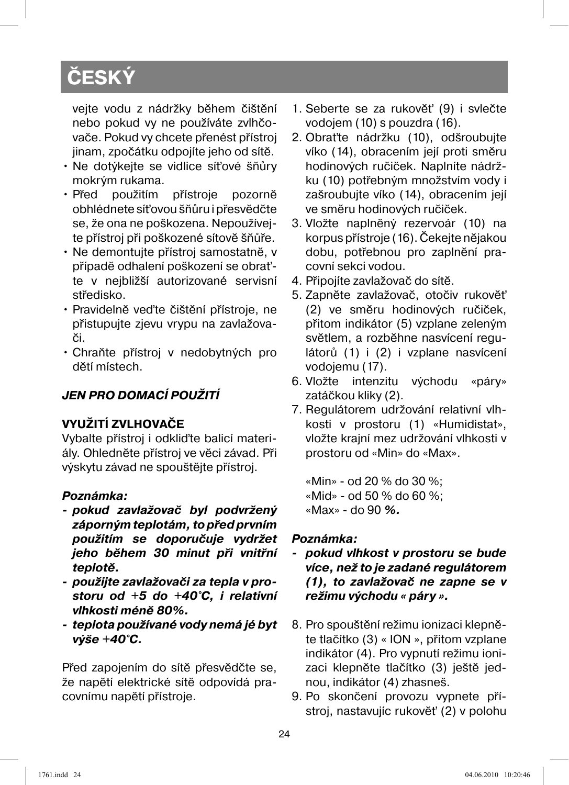# **ČESKÝ**

vejte vodu z nádržky během čištění nebo pokud vy ne používáte zvlhčovače. Pokud vy chcete přenést přístroj jinam, zpočátku odpojíte jeho od sítě.

- Ne dotýkejte se vidlice síťové šňůry mokrým rukama.
- Před použitím přístroje pozorně obhlédnete síťovou šňůru i přesvědčte se, že ona ne poškozena. Nepoužívejte přístroj při poškozené sítově šňůře.
- Ne demontujte přístroj samostatně, v případě odhalení poškození se obraťte v nejbližší autorizované servisní středisko.
- Pravidelně veďte čištění přístroje, ne přistupujte zjevu vrypu na zavlažovači.
- Chraňte přístroj v nedobytných pro dětí místech.

# *JEN PRO DOMACÍ POUŽITÍ*

# **VYUŽITÍ ZVLHOVAČE**

Vybalte přístroj i odkliďte balicí materiály. Ohledněte přístroj ve věci závad. Při výskytu závad ne spouštějte přístroj.

# *Poznámka:*

- *pokud zavlažovač byl podvržený záporným teplotám, to před prvním použitím se doporučuje vydržet jeho během 30 minut při vnitřní teplotě.*
- *použijte zavlažovači za tepla v prostoru od +5 do +40°C, i relativní vlhkosti méně 80%.*
- *teplota používané vody nemá jé byt výše +40°C.*

Před zapojením do sítě přesvědčte se, že napětí elektrické sítě odpovídá pracovnímu napětí přístroje.

- 1. Seberte se za rukověť (9) i svlečte vodojem (10) s pouzdra (16).
- 2. Obraťte nádržku (10), odšroubujte víko (14), obracením její proti směru hodinových ručiček. Naplníte nádržku (10) potřebným množstvím vody i zašroubujte víko (14), obracením její ve směru hodinových ručiček.
- 3. Vložte naplněný rezervoár (10) na korpus přístroje (16). Čekejte nějakou dobu, potřebnou pro zaplnění pracovní sekci vodou.
- 4. Připojíte zavlažovač do sítě.
- 5. Zapněte zavlažovač, otočiv rukověť (2) ve směru hodinových ručiček, přitom indikátor (5) vzplane zeleným světlem, a rozběhne nasvícení regulátorů (1) i (2) i vzplane nasvícení vodojemu (17).
- 6. Vložte intenzitu východu «páry» zatáčkou kliky (2).
- 7. Regulátorem udržování relativní vlhkosti v prostoru (1) «Humidistat», vložte krajní mez udržování vlhkosti v prostoru od «Min» do «Max».

 «Min» - od 20 % do 30 %; «Mid» - od 50 % do 60 %; «Max» - do 90 *%.*

# *Poznámka:*

- *pokud vlhkost v prostoru se bude více, než to je zadané regulátorem (1), to zavlažovač ne zapne se v režimu východu « páry ».*
- 8. Pro spouštění režimu ionizaci klepněte tlačítko (3) « ION », přitom vzplane indikátor (4). Pro vypnutí režimu ionizaci klepněte tlačítko (3) ještě jednou, indikátor (4) zhasneš.
- 9. Po skončení provozu vypnete přístroj, nastavujíc rukověť (2) v polohu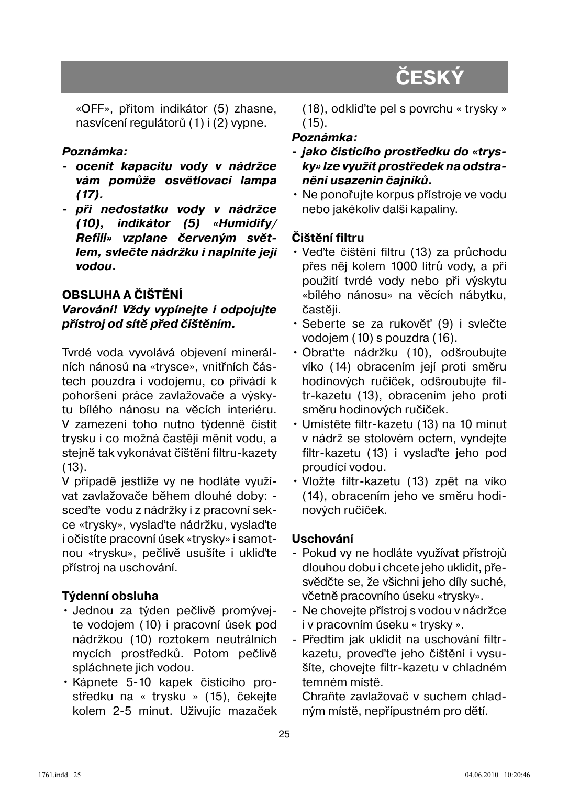«OFF», přitom indikátor (5) zhasne, nasvícení regulátorů (1) i (2) vypne.

# *Poznámka:*

- *ocenit kapacitu vody v nádržce vám pomůže osvětlovací lampa (17).*
- *při nedostatku vody v nádržce (10), indikátor (5) «Humidify/ Refill» vzplane červeným světlem, svlečte nádržku i naplníte její vodou***.**

# **OBSLUHA A ČIŠTĚNÍ**

# *Varování! Vždy vypínejte i odpojujte přístroj od sítě před čištěním.*

Tvrdé voda vyvolává objevení minerálních nánosů na «trysce», vnitřních částech pouzdra i vodojemu, co přivádí k pohoršení práce zavlažovače a výskytu bílého nánosu na věcích interiéru. V zamezení toho nutno týdenně čistit trysku i co možná častěji měnit vodu, a stejně tak vykonávat čištění filtru-kazety (13).

V případě jestliže vy ne hodláte využívat zavlažovače během dlouhé doby: sceďte vodu z nádržky i z pracovní sekce «trysky», vyslaďte nádržku, vyslaďte i očistíte pracovní úsek «trysky» i samotnou «trysku», pečlivě usušíte i ukliďte přístroj na uschování.

# **Týdenní obsluha**

- Jednou za týden pečlivě promývejte vodojem (10) i pracovní úsek pod nádržkou (10) roztokem neutrálních mycích prostředků. Potom pečlivě spláchnete jich vodou.
- Kápnete 5-10 kapek čisticího prostředku na « trysku » (15), čekejte kolem 2-5 minut. Uživujíc mazaček

(18), odkliďte pel s povrchu « trysky » (15).

# *Poznámka:*

- *jako čisticího prostředku do «trysky» lze využít prostředek na odstranění usazenin čajníků.*
- Ne ponořujte korpus přístroje ve vodu nebo jakékoliv další kapaliny.

# **Čištění filtru**

- Veďte čištění filtru (13) za průchodu přes něj kolem 1000 litrů vody, a při použití tvrdé vody nebo při výskytu «bílého nánosu» na věcích nábytku, častěji.
- Seberte se za rukověť (9) i svlečte vodojem (10) s pouzdra (16).
- Obraťte nádržku (10), odšroubujte víko (14) obracením její proti směru hodinových ručiček, odšroubujte filtr-kazetu (13), obracením jeho proti směru hodinových ručiček.
- Umístěte filtr-kazetu (13) na 10 minut v nádrž se stolovém octem, vyndejte filtr-kazetu (13) i vyslaďte jeho pod proudící vodou.
- Vložte filtr-kazetu (13) zpět na víko (14), obracením jeho ve směru hodinových ručiček.

# **Uschování**

- Pokud vy ne hodláte využívat přístrojů dlouhou dobu i chcete jeho uklidit, přesvědčte se, že všichni jeho díly suché, včetně pracovního úseku «trysky».
- Ne chovejte přístroj s vodou v nádržce i v pracovním úseku « trysky ».
- Předtím jak uklidit na uschování filtrkazetu, proveďte jeho čištění i vysušíte, chovejte filtr-kazetu v chladném temném místě.

 Chraňte zavlažovač v suchem chladným místě, nepřípustném pro dětí.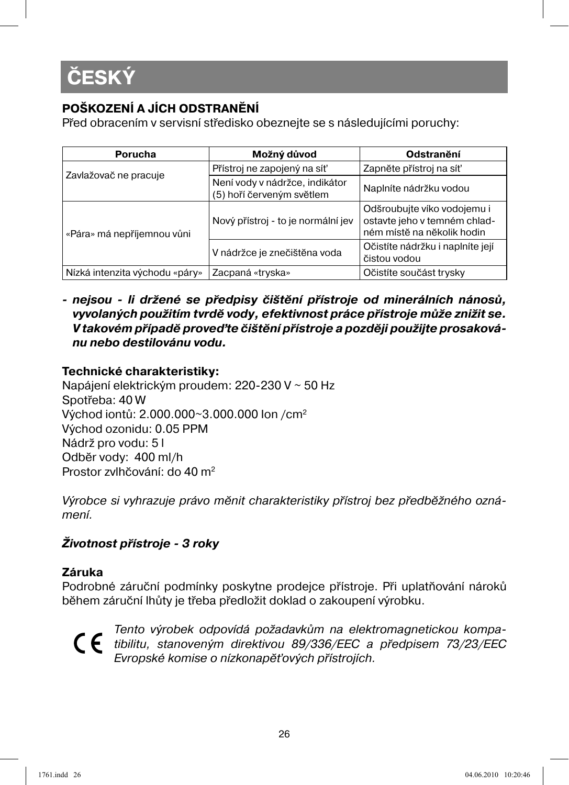# **ČESKÝ**

# **POŠKOZENÍ A JÍCH ODSTRANĚNÍ**

Před obracením v servisní středisko obeznejte se s následujícími poruchy:

| Porucha                        | Možný důvod                                                 | Odstranění                                                                                |
|--------------------------------|-------------------------------------------------------------|-------------------------------------------------------------------------------------------|
|                                | Přístroj ne zapojený na síť                                 | Zapněte přístroj na síť                                                                   |
| Zavlažovač ne pracuje          | Není vody v nádržce, indikátor<br>(5) hoří červeným světlem | Naplníte nádržku vodou                                                                    |
| «Pára» má nepříjemnou vůni     | Nový přístroj - to je normální jev                          | Odšroubujte víko vodojemu i<br>ostavte jeho v temném chlad-<br>ném místě na několik hodin |
|                                | V nádržce je znečištěna voda                                | Očistíte nádržku i naplníte její<br>čistou vodou                                          |
| Nízká intenzita východu «páry» | Zacpaná «tryska»                                            | Očistíte součást trysky                                                                   |

*- nejsou - li držené se předpisy čištění přístroje od minerálních nánosů, vyvolaných použitím tvrdě vody, efektivnost práce přístroje může znižit se. V takovém případě proveďte čištění přístroje a později použijte prosakovánu nebo destilovánu vodu.*

# **Technické charakteristiky:**

Napájení elektrickým proudem: 220-230 V ~ 50 Hz Spotřeba: 40 W Východ iontů: 2.000.000~3.000.000 Ion /cm2 Východ ozonidu: 0.05 PPM Nádrž pro vodu: 5 l Odběr vody: 400 ml/h Prostor zvlhčování: do 40 m2

Výrobce si vyhrazuje právo měnit charakteristiky přístroj bez předběžného oznámení.

# *Životnost přístroje - 3 roky*

## **Záruka**

Podrobné záruční podmínky poskytne prodejce přístroje. Při uplatňování nároků během záruční lhůty je třeba předložit doklad o zakoupení výrobku.



Tento výrobek odpovídá požadavkům na elektromagnetickou kompatibilitu, stanoveným direktivou 89/336/EEC a předpisem 73/23/EEC Evropské komise o nízkonapěťových přístrojích.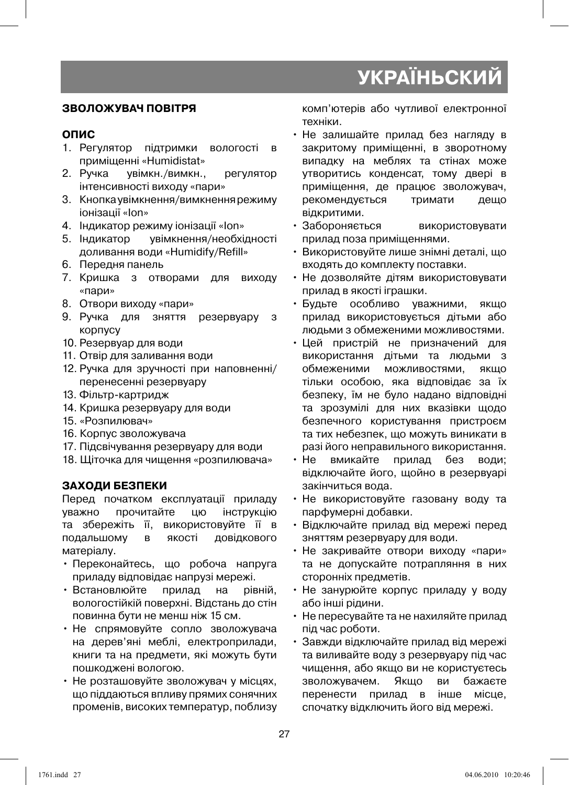# **ЗВОЛОЖУВАЧ ПОВІТРЯ**

## **ОПИС**

- 1. Регулятор підтримки вологості в приміщенні «Humidistat»
- 2. Ручка увімкн./вимкн., регулятор інтенсивності виходу «пари»
- 3. Кнопка увімкнення/вимкнення режиму іонізації «Ion»
- 4. Індикатор режиму іонізації «Ion»
- 5. Індикатор увімкнення/необхідності доливання води «Humidify/Refill»
- 6. Передня панель
- 7. Кришка з отворами для виходу «пари»
- 8. Отвори виходу «пари»
- 9. Ручка для зняття резервуару з корпусу
- 10. Резервуар для води
- 11. Отвір для заливання води
- 12. Ручка для зручності при наповненні/ перенесенні резервуару
- 13. Фільтр-картридж
- 14. Кришка резервуару для води
- 15. «Розпилювач»
- 16. Корпус зволожувача
- 17. Підсвічування резервуару для води
- 18. Щіточка для чищення «розпилювача»

# **ЗАХОДИ БЕЗПЕКИ**

Перед початком експлуатації приладу уважно прочитайте цю інструкцію та збережіть її, використовуйте її в подальшому в якості довідкового матеріалу.

- Переконайтесь, що робоча напруга приладу відповідає напрузі мережі.
- Встановлюйте прилад на рівній, вологостійкій поверхні. Відстань до стін повинна бути не менш ніж 15 см.
- Не спрямовуйте сопло зволожувача на дерев'яні меблі, електроприлади, книги та на предмети, які можуть бути пошкоджені вологою.
- Не розташовуйте зволожувач у місцях, що піддаються впливу прямих сонячних променів, високих температур, поблизу

комп'ютерів або чутливої електронної техніки.

- Не залишайте прилад без нагляду в закритому приміщенні, в зворотному випадку на меблях та стінах може утворитись конденсат, тому двері в приміщення, де працює зволожувач, рекомендується тримати дещо відкритими.
- Забороняється використовувати прилад поза приміщеннями.
- Використовуйте лише знімні деталі, що входять до комплекту поставки.
- Не дозволяйте дітям використовувати прилад в якості іграшки.
- Будьте особливо уважними, якщо прилад використовується дітьми або людьми з обмеженими можливостями.
- Цей пристрій не призначений для використання дітьми та людьми з обмеженими можливостями, якщо тільки особою, яка відповідає за їх безпеку, їм не було надано відповідні та зрозумілі для них вказівки щодо безпечного користування пристроєм та тих небезпек, що можуть виникати в разі його неправильного використання.
- Не вмикайте прилад без води; відключайте його, щойно в резервуарі закінчиться вода.
- Не використовуйте газовану воду та парфумерні добавки.
- Відключайте прилад від мережі перед зняттям резервуару для води.
- Не закривайте отвори виходу «пари» та не допускайте потрапляння в них сторонніх предметів.
- Не занурюйте корпус приладу у воду або інші рідини.
- Не пересувайте та не нахиляйте прилад під час роботи.
- Завжди відключайте прилад від мережі та виливайте воду з резервуару під час чищення, або якщо ви не користуєтесь зволожувачем. Якщо ви бажаєте перенести прилад в інше місце, спочатку відключить його від мережі.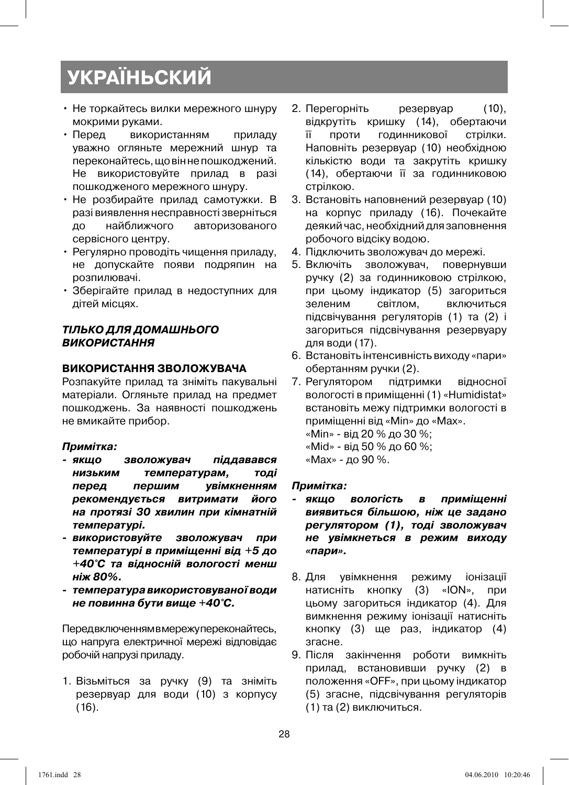- Не торкайтесь вилки мережного шнуру мокрими руками.
- Перед використанням приладу уважно огляньте мережний шнур та переконайтесь, що він не пошкоджений. Не використовуйте прилад в разі пошкодженого мережного шнуру.
- Не розбирайте прилад самотужки. В разі виявлення несправності зверніться до найближчого авторизованого сервісного центру.
- Регулярно проводіть чищення приладу, не допускайте появи подряпин на розпилювачі.
- Зберігайте прилад в недоступних для дітей місцях.

### *ТІЛЬКО ДЛЯ ДОМАШНЬОГО ВИКОРИСТАННЯ*

### **ВИКОРИСТАННЯ ЗВОЛОЖУВАЧА**

Розпакуйте прилад та зніміть пакувальні матеріали. Огляньте прилад на предмет пошкоджень. За наявності пошкоджень не вмикайте прибор.

### *Примітка:*

- *якщо зволожувач піддавався низьким температурам, тоді перед першим увімкненням рекомендується витримати його на протязі 30 хвилин при кімнатній температурі.*
- *використовуйте зволожувач при температурі в приміщенні від +5 до +40°С та відносній вологості менш ніж 80%.*
- *температура використовуваної води не повинна бути вище +40°С.*

Передвключенням в мережу переконайтесь, що напруга електричної мережі відповідає робочій напрузі приладу.

1. Візьміться за ручку (9) та зніміть резервуар для води (10) з корпусу (16).

- 2. Перегорніть резервуар (10), відкрутіть кришку (14), обертаючи її проти годинникової стрілки. Наповніть резервуар (10) необхідною кількістю води та закрутіть кришку (14), обертаючи її за годинниковою стрілкою.
- 3. Встановіть наповнений резервуар (10) на корпус приладу (16). Почекайте деякий час, необхідний для заповнення робочого відсіку водою.
- 4. Підключить зволожувач до мережі.
- 5. Включіть зволожувач, повернувши ручку (2) за годинниковою стрілкою, при цьому індикатор (5) загориться зеленим світлом, включиться підсвічування регуляторів (1) та (2) і загориться підсвічування резервуару для води (17).
- 6. Встановіть інтенсивність виходу «пари» обертанням ручки (2).
- 7. Регулятором підтримки відносної вологості в приміщенні (1) «Humidistat» встановіть межу підтримки вологості в приміщенні від «Min» до «Max». «Min» - від 20 % до 30 %; «Mid» - від 50 % до 60 %;
	- «Max» до 90 %.

### *Примітка:*

- *якщо вологість в приміщенні виявиться більшою, ніж це задано регулятором (1), тоді зволожувач не увімкнеться в режим виходу «пари».*
- 8. Для увімкнення режиму іонізації натисніть кнопку (3) «ION», при цьому загориться індикатор (4). Для вимкнення режиму іонізації натисніть кнопку (3) ще раз, індикатор (4) згасне.
- 9. Після закінчення роботи вимкніть прилад, встановивши ручку (2) в положення «OFF», при цьому індикатор (5) згасне, підсвічування регуляторів (1) та (2) виключиться.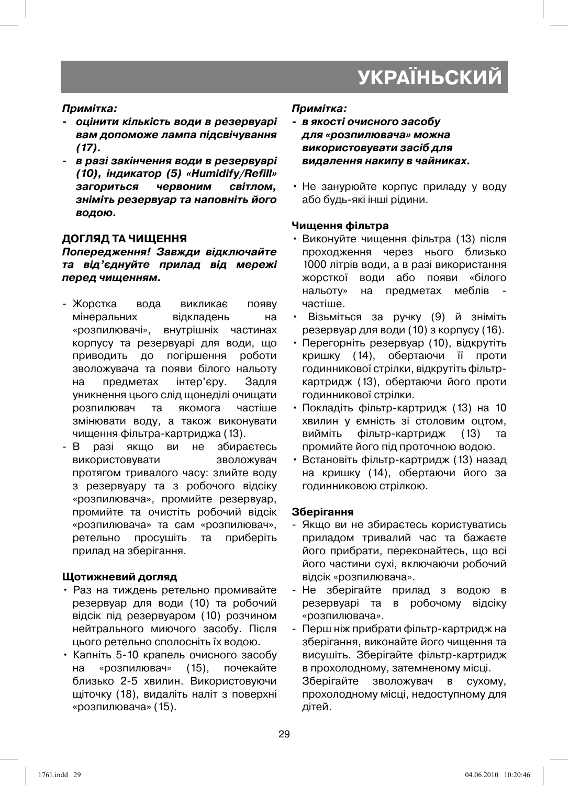#### *Примітка:*

- *оцінити кількість води в резервуарі вам допоможе лампа підсвічування (17).*
- *в разі закінчення води в резервуарі (10), індикатор (5) «Humidify/Refill» загориться червоним світлом, зніміть резервуар та наповніть його водою.*

### **ДОГЛЯД ТА ЧИЩЕННЯ**

*Попередження! Завжди відключайте та від'єднуйте прилад від мережі перед чищенням.*

- Жорстка вода викликає появу мінеральних відкладень на «розпилювачі», внутрішніх частинах корпусу та резервуарі для води, що приводить до погіршення роботи зволожувача та появи білого нальоту на предметах інтер'єру. Задля уникнення цього слід щонеділі очищати розпилювач та якомога частіше змінювати воду, а також виконувати чищення фільтра-картриджа (13).
- В разі якщо ви не збираєтесь використовувати зволожувач протягом тривалого часу: злийте воду з резервуару та з робочого відсіку «розпилювача», промийте резервуар, промийте та очистіть робочий відсік «розпилювача» та сам «розпилювач», ретельно просушіть та приберіть прилад на зберігання.

### **Щотижневий догляд**

- Раз на тиждень ретельно промивайте резервуар для води (10) та робочий відсік під резервуаром (10) розчином нейтрального миючого засобу. Після цього ретельно сполосніть їх водою.
- Капніть 5-10 крапель очисного засобу на «розпилювач» (15), почекайте близько 2-5 хвилин. Використовуючи щіточку (18), видаліть наліт з поверхні «розпилювача» (15).

#### *Примітка:*

- *в якості очисного засобу для «розпилювача» можна використовувати засіб для видалення накипу в чайниках.*
- Не занурюйте корпус приладу у воду або будь-які інші рідини.

#### **Чищення фільтра**

- Виконуйте чищення фільтра (13) після проходження через нього близько 1000 літрів води, а в разі використання жорсткої води або появи «білого нальоту» на предметах меблів частіше.
- Візьміться за ручку (9) й зніміть резервуар для води (10) з корпусу (16).
- Перегорніть резервуар (10), відкрутіть кришку (14), обертаючи її проти годинникової стрілки, відкрутіть фільтркартридж (13), обертаючи його проти годинникової стрілки.
- Покладіть фільтр-картридж (13) на 10 хвилин у ємність зі столовим оцтом, вийміть фільтр-картридж (13) та промийте його під проточною водою.
- Встановіть фільтр-картридж (13) назад на кришку (14), обертаючи його за годинниковою стрілкою.

### **Зберігання**

- Якщо ви не збираєтесь користуватись приладом тривалий час та бажаєте його прибрати, переконайтесь, що всі його частини сухі, включаючи робочий відсік «розпилювача».
- Не зберігайте прилад з водою в резервуарі та в робочому відсіку «розпилювача».
- Перш ніж прибрати фільтр-картридж на зберігання, виконайте його чищення та висушіть. Зберігайте фільтр-картридж в прохолодному, затемненому місці. Зберігайте зволожувач в сухому, прохолодному місці, недоступному для дітей.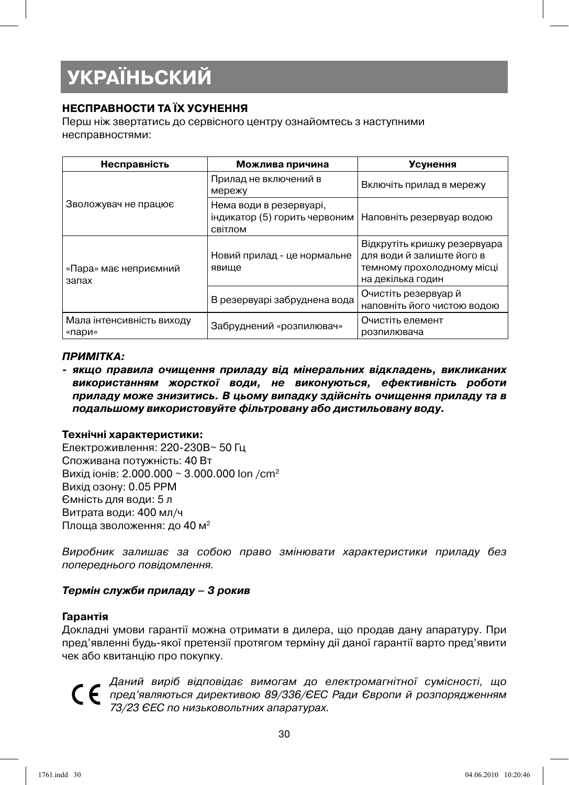## **НЕСПРАВНОСТИ ТА ЇХ УСУНЕННЯ**

Перш ніж звертатись до сервісного центру ознайомтесь з наступними несправностями:

| Несправність                        | Можлива причина                                                     | <b>Усунення</b>                                                                                              |
|-------------------------------------|---------------------------------------------------------------------|--------------------------------------------------------------------------------------------------------------|
|                                     | Прилад не включений в<br>мережу                                     | Включіть прилад в мережу                                                                                     |
| Зволожувач не працює                | Нема води в резервуарі,<br>індикатор (5) горить червоним<br>світлом | Наповніть резервуар водою                                                                                    |
| «Пара» має неприємний<br>запах      | Новий прилад - це нормальне<br>явище                                | Відкрутіть кришку резервуара<br>для води й залиште його в<br>темному прохолодному місці<br>на декілька годин |
|                                     | В резервуарі забруднена вода                                        | Очистіть резервуар й<br>наповніть його чистою водою                                                          |
| Мала інтенсивність виходу<br>«пари» | Забруднений «розпилювач»                                            | Очистіть елемент<br>розпилювача                                                                              |

### *ПРИМІТКА:*

*- якщо правила очищення приладу від мінеральних відкладень, викликаних використанням жорсткої води, не виконуються, ефективність роботи приладу може знизитись. В цьому випадку здійсніть очищення приладу та в подальшому використовуйте фільтровану або дистильовану воду.*

### **Технічні характеристики:**

Електроживлення: 220-230В~ 50 Гц Споживана потужність: 40 Вт Вихід іонів: 2.000.000 ~ 3.000.000 Ion /cm2 Вихід озону: 0.05 PPM Ємність для води: 5 л Витрата води: 400 мл/ч Площа зволоження: до 40 м2

Виробник залишає за собою право змінювати характеристики приладу без попереднього повідомлення.

### *Термін служби приладу – 3 рокив*

### **Гарантія**

Докладні умови гарантії можна отримати в дилера, що продав дану апаратуру. При пред'явленні будь-якої претензії протягом терміну дії даної гарантії варто пред'явити чек або квитанцію про покупку.



Даний виріб відповідає вимогам до електромагнітної сумісності, що пред'являються директивою 89/336/ЄЕС Ради Європи й розпорядженням 73/23 ЄЕС по низьковольтних апаратурах.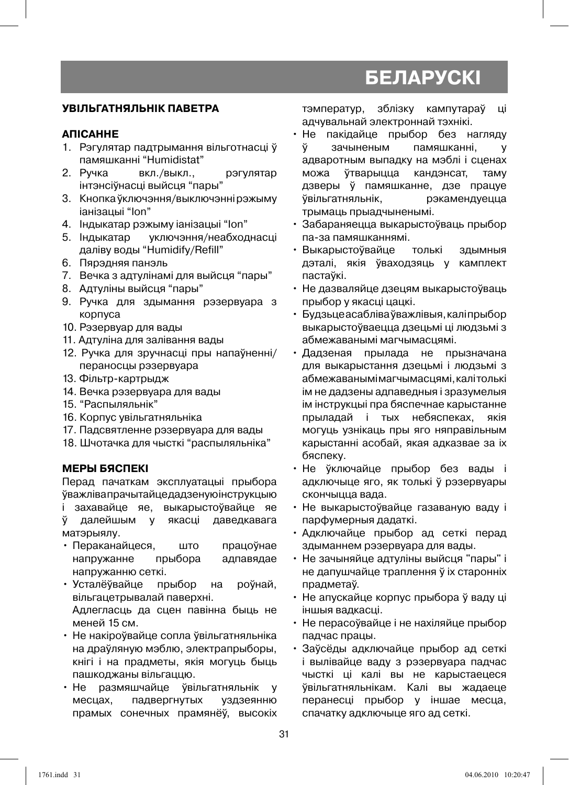### **УВІЛЬГАТНЯЛЬНІК ПАВЕТРА**

### **АПІСАННЕ**

- 1. Рэгулятар падтрымання вільготнасці ў памяшканні "Humidistat"
- 2. Ручка вкл./выкл., рэгулятар інтэнсіўнасці выйсця "пары"
- 3. Кнопка ўключэння/выключэнні рэжыму іанізацыі "Ion"
- 4. Індыкатар рэжыму іанізацыі "Ion"
- 5. Індыкатар уключэння/неабходнасці даліву воды "Humidify/Refill"
- 6. Пярэдняя панэль
- 7. Вечка з адтулінамі для выйсця "пары"
- 8. Адтуліны выйсця "пары"
- 9. Ручка для здымання рэзервуара з корпуса
- 10. Рэзервуар для вады
- 11. Адтуліна для залівання вады
- 12. Ручка для зручнасці пры напаўненні/ пераносцы рэзервуара
- 13. Фільтр-картрыдж
- 14. Вечка рэзервуара для вады
- 15. "Распыляльнік"
- 16. Корпус увільгатняльніка
- 17. Падсвятленне рэзервуара для вады
- 18. Шчотачка для чысткі "распыляльніка"

### **МЕРЫ БЯСПЕКІ**

Перад пачаткам эксплуатацыі прыбора ўважліва прачытайце дадзеную інструкцыю

- і захавайце яе, выкарыстоўвайце яе далейшым у якасці даведкавага матэрыялу.
- Пераканайцеся, што працоўнае напружанне прыбора адпавядае напружанню сеткі.
- Усталёўвайце прыбор на роўнай, вільгацетрывалай паверхні. Адлегласць да сцен павінна быць не меней 15 см.
- Не накіроўвайце сопла ўвільгатняльніка на драўляную мэблю, электрапрыборы, кнігі і на прадметы, якія могуць быць пашкоджаны вільгаццю.
- Не размяшчайце ўвільгатняльнік у месцах, падвергнутых уздзеянню прамых сонечных прамянёў, высокіх

тэмператур, зблізку кампутараў ці адчувальнай электроннай тэхнікі.

- Не пакідайце прыбор без нагляду ў зачыненым памяшканні, у адваротным выпадку на мэблі і сценах можа ўтварыцца кандэнсат, таму дзверы ў памяшканне, дзе працуе ўвільгатняльнік, рэкамендуецца трымаць прыадчыненымі.
- Забараняецца выкарыстоўваць прыбор па-за памяшканнямі.
- Выкарыстоўвайце толькі здымныя дэталі, якія ўваходзяць у камплект пастаўкі.
- Не дазваляйце дзецям выкарыстоўваць прыбор у якасці цацкі.
- Будзьце асабліва ўважлівыя, калі прыбор выкарыстоўваецца дзецьмі ці людзьмі з абмежаванымі магчымасцямі.
- Дадзеная прылада не прызначана для выкарыстання дзецьмі і людзьмі з абмежаванымі магчымасцямі, калі толькі ім не дадзены адпаведныя і зразумелыя ім інструкцыі пра бяспечнае карыстанне прыладай і тых небяспеках, якія могуць узнікаць пры яго няправільным карыстанні асобай, якая адказвае за іх бяспеку.
- Не ўключайце прыбор без вады і адключыце яго, як толькі ў рэзервуары скончыцца вада.
- Не выкарыстоўвайце газаваную ваду і парфумерныя дадаткі.
- Адключайце прыбор ад сеткі перад здыманнем рэзервуара для вады.
- Не зачыняйце адтуліны выйсця "пары" і не дапушчайце траплення ў іх старонніх прадметаў.
- Не апускайце корпус прыбора ў ваду ці іншыя вадкасці.
- Не перасоўвайце і не нахіляйце прыбор падчас працы.
- Заўсёды адключайце прыбор ад сеткі і вылівайце ваду з рэзервуара падчас чысткі ці калі вы не карыстаецеся ўвільгатняльнікам. Калі вы жадаеце перанесці прыбор у іншае месца, спачатку адключыце яго ад сеткі.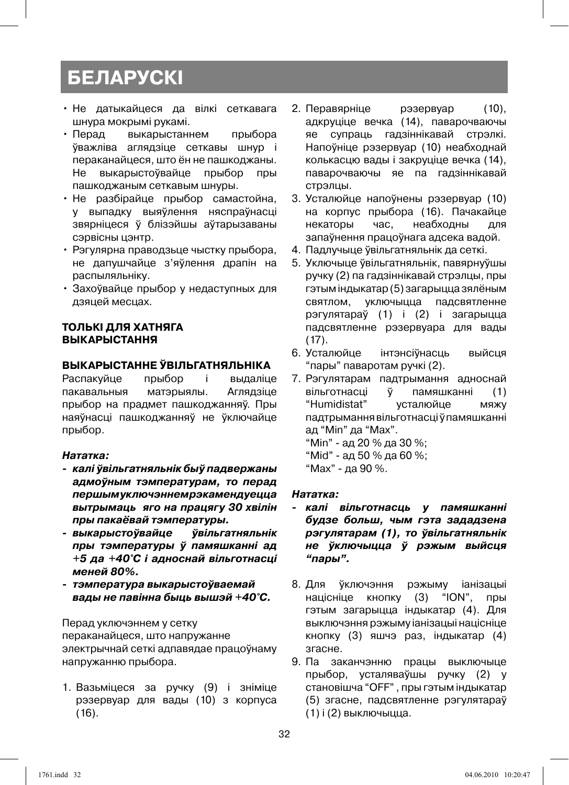- Не датыкайцеся да вілкі сеткавага шнура мокрымі рукамі.
- Перад выкарыстаннем прыбора ўважліва аглядзіце сеткавы шнур і пераканайцеся, што ён не пашкоджаны. Не выкарыстоўвайце прыбор пры пашкоджаным сеткавым шнуры.
- Не разбірайце прыбор самастойна, у выпадку выяўлення няспраўнасці звярніцеся ў блізэйшы аўтарызаваны сэрвісны цэнтр.
- Рэгулярна праводзьце чыстку прыбора, не дапушчайце з'яўлення драпін на распыляльніку.
- Захоўвайце прыбор у недаступных для дзяцей месцах.

### **ТОЛЬКІ ДЛЯ ХАТНЯГА ВЫКАРЫСТАННЯ**

### **ВЫКАРЫСТАННЕ ЎВІЛЬГАТНЯЛЬНІКА**

Распакуйце прыбор і выдаліце пакавальныя матэрыялы. Аглядзіце прыбор на прадмет пашкоджанняў. Пры наяўнасці пашкоджанняў не ўключайце прыбор.

### *Нататка:*

- *калі ўвільгатняльнік быў падвержаны адмоўным тэмпературам, то перад першым уключэннем рэкамендуецца вытрымаць яго на працягу 30 хвілін пры пакаёвай тэмпературы.*
- *выкарыстоўвайце ўвільгатняльнік пры тэмпературы ў памяшканні ад +5 да +40°С і адноснай вільготнасці меней 80%.*
- *тэмпература выкарыстоўваемай вады не павінна быць вышэй +40°С.*

Перад уключэннем у сетку пераканайцеся, што напружанне электрычнай сеткі адпавядае працоўнаму напружанню прыбора.

1. Вазьміцеся за ручку (9) і зніміце рэзервуар для вады (10) з корпуса (16).

- 2. Перавярніце рэзервуар (10), адкруціце вечка (14), паварочваючы яе супраць гадзіннікавай стрэлкі. Напоўніце рэзервуар (10) неабходнай колькасцю вады і закруціце вечка (14), паварочваючы яе па гадзіннікавай стрэлцы.
- 3. Усталюйце напоўнены рэзервуар (10) на корпус прыбора (16). Пачакайце некаторы час, неабходны для запаўнення працоўнага адсека вадой.
- 4. Падлучыце ўвільгатняльнік да сеткі.
- 5. Уключыце ўвільгатняльнік, павярнуўшы ручку (2) па гадзіннікавай стрэлцы, пры гэтым індыкатар (5) загарыцца зялёным святлом, уключыцца падсвятленне рэгулятараў (1) і (2) і загарыцца падсвятленне рэзервуара для вады (17).
- 6. Усталюйце інтэнсіўнасць выйсця "пары" паваротам ручкі (2).
- 7. Рэгулятарам падтрымання адноснай вільготнасці ў памяшканні (1) "Humidistat" усталюйце мяжу падтрымання вільготнасці ў памяшканні ад "Min" да "Max". "Min" - ад 20 % да 30 %; "Mid" - ад 50 % да 60 %;
	- "Max" да 90 %.

### *Нататка:*

- *калі вільготнасць у памяшканні будзе больш, чым гэта зададзена рэгулятарам (1), то ўвільгатняльнік не ўключыцца ў рэжым выйсця "пары".*
- 8. Для ўключэння рэжыму іанізацыі націсніце кнопку (3) "ION", пры гэтым загарыцца індыкатар (4). Для выключэння рэжыму іанізацыі націсніце кнопку (3) яшчэ раз, індыкатар (4) згасне.
- 9. Па заканчэнню працы выключыце прыбор, усталяваўшы ручку (2) у становішча "OFF" , пры гэтым індыкатар (5) згасне, падсвятленне рэгулятараў (1) і (2) выключыцца.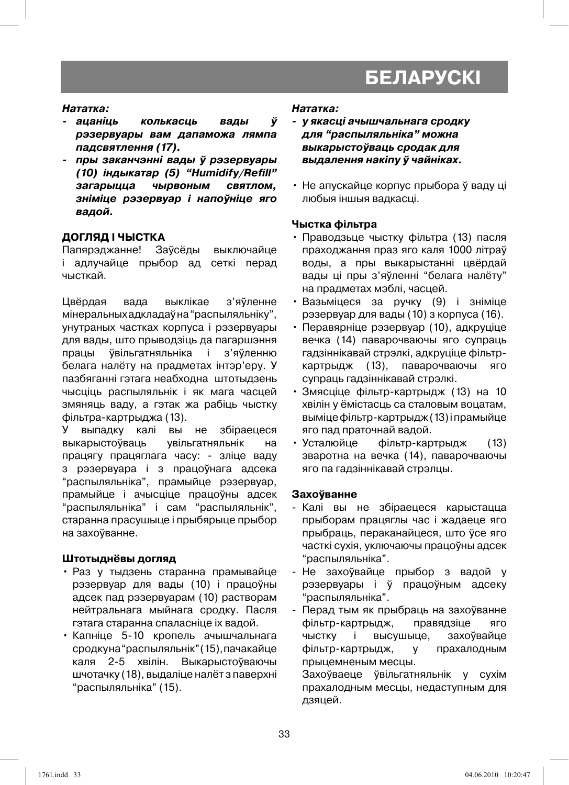#### *Нататка:*

- *ацаніць колькасць вады ў рэзервуары вам дапаможа лямпа падсвятлення (17).*
- *пры заканчэнні вады ў рэзервуары (10) індыкатар (5) "Humidify/Refill" загарыцца чырвоным святлом, зніміце рэзервуар і напоўніце яго вадой.*

### **ДОГЛЯД І ЧЫСТКА**

Папярэджанне! Заўсёды выключайце і адлучайце прыбор ад сеткі перад чысткай.

Цвёрдая вада выклікае з'яўленне мінеральных адкладаў на "распыляльніку", унутраных частках корпуса і рэзервуары для вады, што прыводзіць да пагаршэння працы ўвільгатняльніка і з'яўленню белага налёту на прадметах інтэр'еру. У пазбяганні гэтага неабходна штотыдзень чысціць распыляльнік і як мага часцей змяняць ваду, а гэтак жа рабіць чыстку фільтра-картрыджа (13).

У выпадку калі вы не збіраецеся выкарыстоўваць увільгатняльнік на працягу працяглага часу: - зліце ваду з рэзервуара і з працоўнага адсека "распыляльніка", прамыйце рэзервуар, прамыйце і ачысціце працоўны адсек "распыляльніка" і сам "распыляльнік", старанна прасушыце і прыбярыце прыбор на захоўванне.

### **Штотыднёвы догляд**

- Раз у тыдзень старанна прамывайце рэзервуар для вады (10) і працоўны адсек пад рэзервуарам (10) растворам нейтральнага мыйнага сродку. Пасля гэтага старанна спаласніце іх вадой.
- Капніце 5-10 кропель ачышчальнага сродку на "распыляльнік" (15), пачакайце каля 2-5 хвілін. Выкарыстоўваючы шчотачку (18), выдаліце налёт з паверхні "распыляльніка" (15).

#### *Нататка:*

- *у якасці ачышчальнага сродку для "распыляльніка" можна выкарыстоўваць сродак для выдалення накіпу ў чайніках.*
- Не апускайце корпус прыбора ў ваду ці любыя іншыя вадкасці.

#### **Чыстка фільтра**

- Праводзьце чыстку фільтра (13) пасля праходжання праз яго каля 1000 літраў воды, а пры выкарыстанні цвёрдай вады ці пры з'яўленні "белага налёту" на прадметах мэблі, часцей.
- Вазьміцеся за ручку (9) і зніміце рэзервуар для вады (10) з корпуса (16).
- Перавярніце рэзервуар (10), адкруціце вечка (14) паварочваючы яго супраць гадзіннікавай стрэлкі, адкруціце фільтркартрыдж (13), паварочваючы яго супраць гадзіннікавай стрэлкі.
- Змясціце фільтр-картрыдж (13) на 10 хвілін у ёмістасць са сталовым воцатам, выміце фільтр-картрыдж (13) і прамыйце яго пад праточнай вадой.
- Усталюйце фільтр-картрыдж (13) зваротна на вечка (14), паварочваючы яго па гадзіннікавай стрэлцы.

#### **Захоўванне**

- Калі вы не збіраецеся карыстацца прыборам працяглы час і жадаеце яго прыбраць, пераканайцеся, што ўсе яго часткі сухія, уключаючы працоўны адсек "распыляльніка".
- Не захоўвайце прыбор з вадой у рэзервуары і ў працоўным адсеку "распыляльніка".
- Перад тым як прыбраць на захоўванне фільтр-картрыдж, правядзіце яго чыстку і высушыце, захоўвайце фільтр-картрыдж, у прахалодным прыцемненым месцы.

 Захоўваеце ўвільгатняльнік у сухім прахалодным месцы, недаступным для дзяцей.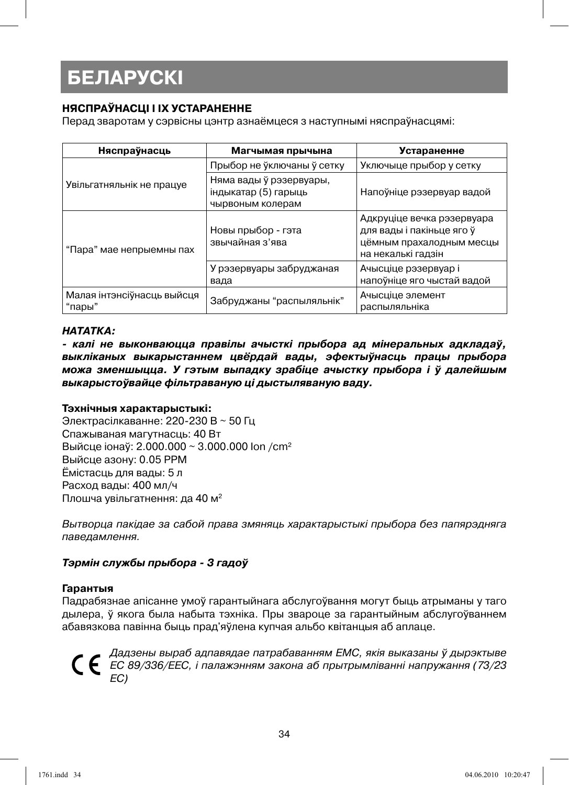### **НЯСПРАЎНАСЦІ І ІХ УСТАРАНЕННЕ**

Перад зваротам у сэрвісны цэнтр азнаёмцеся з наступнымі няспраўнасцямі:

| Няспраўнасць                         | Магчымая прычына                                                    | <b>Устараненне</b>                                                                                        |
|--------------------------------------|---------------------------------------------------------------------|-----------------------------------------------------------------------------------------------------------|
|                                      | Прыбор не ўключаны ў сетку                                          | Уключыце прыбор у сетку                                                                                   |
| Увільгатняльнік не працуе            | Няма вады ў рэзервуары,<br>індыкатар (5) гарыць<br>чырвоным колерам | Напоўніце рэзервуар вадой                                                                                 |
| "Пара" мае непрыемны пах             | Новы прыбор - гэта<br>звычайная з'ява                               | Адкруціце вечка рэзервуара<br>для вады і пакіньце яго ў<br>цёмным прахалодным месцы<br>на некалькі гадзін |
|                                      | У рэзервуары забруджаная<br>вада                                    | Ачысціце рэзервуар і<br>напоўніце яго чыстай вадой                                                        |
| Малая інтэнсіўнасць выйсця<br>"пары" | Забруджаны "распыляльнік"                                           | Ачысціце элемент<br>распыляльніка                                                                         |

### *НАТАТКА:*

*- калі не выконваюцца правілы ачысткі прыбора ад мінеральных адкладаў, выкліканых выкарыстаннем цвёрдай вады, эфектыўнасць працы прыбора можа зменшыцца. У гэтым выпадку зрабіце ачыстку прыбора і ў далейшым выкарыстоўвайце фільтраваную ці дыстыляваную ваду.*

### **Тэхнічныя характарыстыкі:**

Электрасілкаванне: 220-230 В ~ 50 Гц Спажываная магутнасць: 40 Вт Выйсце іонаў: 2.000.000 ~ 3.000.000 Ion /cm2 Выйсце азону: 0.05 PPM Ёмістасць для вады: 5 л Расход вады: 400 мл/ч Плошча увільгатнення: да 40 м2

Вытворца пакідае за сабой права змяняць характарыстыкі прыбора без папярэдняга паведамлення.

### *Тэрмін службы прыбора - 3 гадоў*

### **Гарантыя**

Падрабязнае апісанне умоў гарантыйнага абслугоўвання могут быць атрыманы у таго дылера, ў якога была набыта тэхніка. Пры звароце за гарантыйным абслугоўваннем абавязкова павінна быць прад'яўлена купчая альбо квітанцыя аб аплаце.



Дадзены выраб адпавядае патрабаванням ЕМС, якiя выказаны ў дырэктыве С <del>ЕС 89/336/ЕЕС, і палажэнням</del> закона аб прытрымліванні напружання (73/23 EC)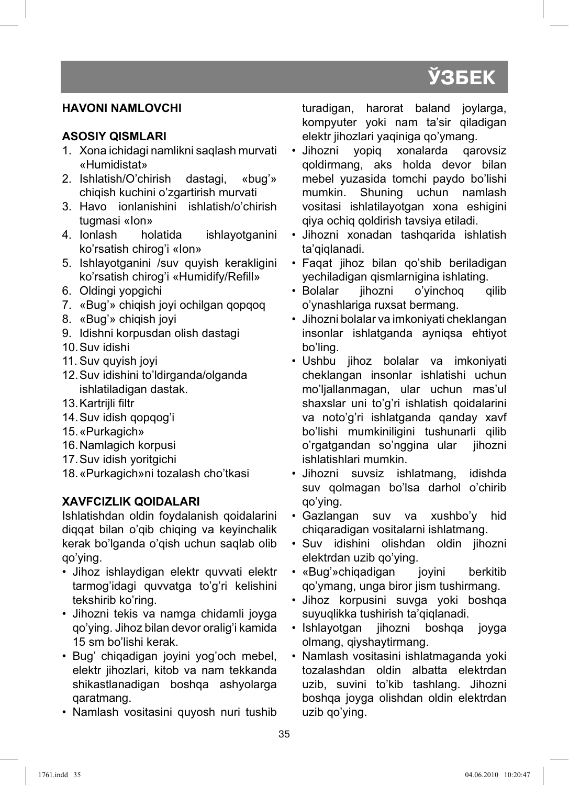# **ЎЗБЕК**

# **HАVОNI NАMLОVCHI**

# **АSОSIY QISMLАRI**

- 1. Хоnа ichidаgi nаmlikni sаqlаsh murvаti «Humidistat»
- 2. Ishlаtish/O'chirish dаstаgi, «bug'» chiqish kuchini o'zgаrtirish murvаti
- 3. Hаvо iоnlаnishini ishlаtish/o'chirish tugmаsi «Ion»
- 4. Iоnlаsh hоlаtidа ishlаyotgаnini ko'rsаtish chirоg'i «Ion»
- 5. Ishlаyotgаnini /suv quyish kеrаkligini ko'rsatish chirog'i «Humidify/Refill»
- 6. Оldingi yopgichi
- 7. «Bug'» chiqish jоyi оchilgаn qоpqоq
- 8. «Bug'» chiqish jоyi
- 9. Idishni kоrpusdаn оlish dаstаgi
- 10. Suv idishi
- 11. Suv quyish jоyi
- 12. Suv idishini to'ldirgаndа/оlgаndа ishlаtilаdigаn dаstаk.
- 13. Kartriili filtr
- 14. Suv idish gopgog'i
- 15. «Purkаgich»
- 16. Nаmlаgich kоrpusi
- 17. Suv idish yoritgichi
- 18. «Purkаgich»ni tоzаlаsh cho'tkаsi

# **ХАVFCIZLIK QОIDАLАRI**

Ishlаtishdаn оldin fоydаlаnish qоidаlаrini diqqаt bilаn o'qib chiqing vа kеyinchаlik kеrаk bo'lgаndа o'qish uchun sаqlаb оlib qo'ying.

- Jihоz ishlаydigаn elеktr quvvаti elеktr tаrmоg'idаgi quvvаtgа to'g'ri kеlishini tеkshirib ko'ring.
- Jihоzni tеkis vа nаmgа chidаmli jоygа qo'ying. Jihоz bilаn dеvоr оrаlig'i kаmidа 15 sm bo'lishi kеrаk.
- Bug' chiqаdigаn jоyini yog'оch mеbеl, elеktr jihоzlаri, kitоb vа nаm tеkkаndа shikаstlаnаdigаn bоshqа аshyolаrgа qаrаtmаng.
- Nаmlаsh vоsitаsini quyosh nuri tushib

turаdigаn, hаrоrаt bаlаnd jоylаrgа, kоmpyutеr yoki nаm tа'sir qilаdigаn elеktr jihоzlаri yaqinigа qo'ymаng.

- Jihоzni yopiq хоnаlаrdа qаrоvsiz qоldirmаng, аks hоldа dеvоr bilаn mеbеl yuzаsidа tоmchi pаydо bo'lishi mumkin. Shuning uchun nаmlаsh vоsitаsi ishlаtilаyotgаn хоnа eshigini qiya оchiq qоldirish tаvsiya etilаdi.
- Jihоzni хоnаdаn tаshqаridа ishlаtish ta'qiqlanadi.
- Fаqаt jihоz bilаn qo'shib bеrilаdigаn yеchilаdigаn qismlаrniginа ishlаting.
- Bolalar jihozni o'yinchoq qilib o'ynаshlаrigа ruхsаt bеrmаng.
- Jihоzni bоlаlаr vа imkоniyati chеklаngаn insоnlаr ishlаtgаndа аyniqsа ehtiyot bo'ling.
- Ushbu jihоz bоlаlаr vа imkоniyati chеklаngаn insоnlаr ishlаtishi uchun mo'ljаllаnmаgаn, ulаr uchun mаs'ul shахslаr uni to'g'ri ishlаtish qоidаlаrini va noto'g'ri ishlatganda qanday xayf bo'lishi mumkiniligini tushunarli qilib o'rgаtgаndаn so'ngginа ulаr jihоzni ishlаtishlаri mumkin.
- Jihоzni suvsiz ishlаtmаng, idishdа suv qоlmаgаn bo'lsа dаrhоl o'chirib qo'ying.
- Gаzlаngаn suv vа хushbo'y hid chiqаrаdigаn vоsitаlаrni ishlаtmаng.
- Suv idishini оlishdаn оldin jihоzni elеktrdаn uzib qo'ying.
- «Bug'»chiqаdigаn jоyini bеrkitib qo'ymаng, ungа birоr jism tushirmаng.
- Jihоz kоrpusini suvgа yoki bоshqа suyuqlikkа tushirish tа'qiqlаnаdi.
- Ishlаyotgаn jihоzni bоshqа jоygа оlmаng, qiyshаytirmаng.
- Nаmlаsh vоsitаsini ishlаtmаgаndа yoki tоzаlаshdаn оldin аlbаttа elеktrdаn uzib, suvini to'kib tаshlаng. Jihоzni bоshqа jоygа оlishdаn оldin elеktrdаn uzib qo'ying.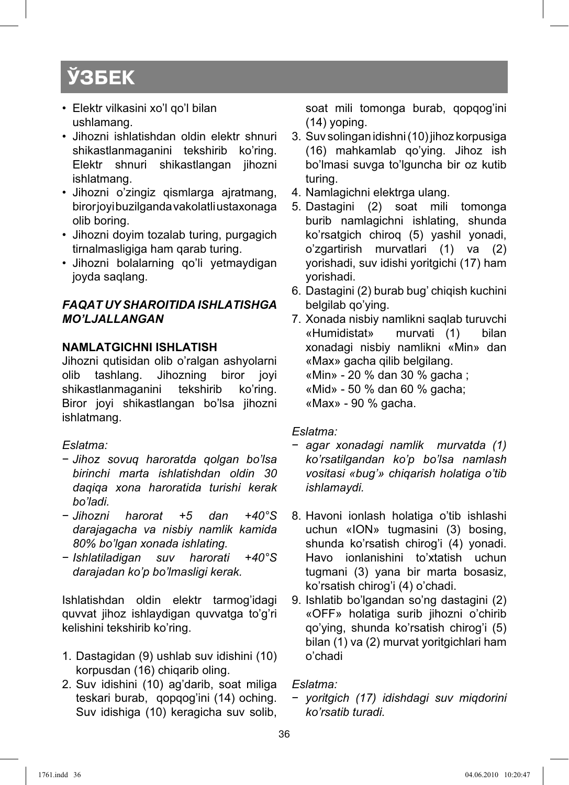# **ЎЗБЕК**

- Elеktr vilkаsini хo'l qo'l bilаn ushlаmаng.
- Jihоzni ishlаtishdаn оldin elеktr shnuri shikastlanmaganini tekshirib ko'ring. Elеktr shnuri shikаstlаngаn jihоzni ishlаtmаng.
- Jihozni o'zingiz qismlarga airatmang. birоr jоyi buzilgаndа vаkоlаtli ustахоnаgа оlib bоring.
- Jihоzni dоyim tоzаlаb turing, purgаgich tirnаlmаsligigа hаm qаrаb turing.
- Jihоzni bоlаlаrning qo'li yеtmаydigаn jоydа sаqlаng.

## *FАQАT UY SHАRОITIDА ISHLАTISHGА MO'LJАLLАNGАN*

## **NАMLАTGICHNI ISHLАTISH**

Jihоzni qutisidаn оlib o'rаlgаn аshyolаrni оlib tаshlаng. Jihоzning birоr jоyi shikastlanmaganini tekshirib ko'ring. Birоr jоyi shikаstlаngаn bo'lsа jihоzni ishlаtmаng.

## *Eslаtmа:*

- − *Jihоz sоvuq hаrоrаtdа qоlgаn bo'lsа birinchi mаrtа ishlаtishdаn оldin 30 dаqiqа хоnа hаrоrаtidа turishi kеrаk bo'lаdi.*
- − *Jihоzni hаrоrаt +5 dаn +40°S dаrаjаgаchа vа nisbiy nаmlik kаmidа 80% bo'lgаn хоnаdа ishlаting.*
- − *Ishlаtilаdigаn suv hаrоrаti +40°S dаrаjаdаn ko'p bo'lmаsligi kеrаk.*

Ishlаtishdаn оldin elеktr tаrmоg'idаgi quvvаt jihоz ishlаydigаn quvvаtgа to'g'ri kеlishini tеkshirib ko'ring.

- 1. Dаstаgidаn (9) ushlаb suv idishini (10) kоrpusdаn (16) chiqаrib оling.
- 2. Suv idishini (10) аg'dаrib, sоаt miligа tеskаri burаb, qоpqоg'ini (14) оching. Suv idishigа (10) kеrаgichа suv sоlib,

sоаt mili tоmоngа burаb, qоpqоg'ini (14) yoping.

- 3. Suv sоlingаn idishni (10) jihоz kоrpusigа (16) mаhkаmlаb qo'ying. Jihоz ish bo'lmаsi suvgа to'lgunchа bir оz kutib turing.
- 4. Nаmlаgichni elеktrgа ulаng.
- 5. Dаstаgini (2) sоаt mili tоmоngа burib nаmlаgichni ishlаting, shundа ko'rsаtgich chirоq (5) yashil yonаdi, o'zgаrtirish murvаtlаri (1) vа (2) yorishаdi, suv idishi yoritgichi (17) hаm yorishаdi.
- 6. Dаstаgini (2) burаb bug' chiqish kuchini belgilab qo'ying.
- 7. Хоnаdа nisbiy nаmlikni sаqlаb turuvchi «Humidistat» murvаti (1) bilаn хоnаdаgi nisbiy nаmlikni «Min» dаn «Max» gаchа qilib bеlgilаng. «Min» - 20 % dаn 30 % gаchа ; «Mid» - 50 % dаn 60 % gаchа; «Max» - 90 % gаchа.

# *Eslаtmа:*

- − *аgаr хоnаdаgi nаmlik murvаtdа (1) ko'rsаtilgаndаn ko'p bo'lsа nаmlаsh vоsitаsi «bug'» chiqаrish hоlаtigа o'tib ishlаmаydi.*
- 8. Hаvоni iоnlаsh hоlаtigа o'tib ishlаshi uchun «ION» tugmаsini (3) bоsing, shundа ko'rsаtish chirоg'i (4) yonаdi. Hаvо iоnlаnishini to'хtаtish uchun tugmаni (3) yanа bir mаrtа bоsаsiz, ko'rsаtish chirоg'i (4) o'chаdi.
- 9. Ishlаtib bo'lgаndаn so'ng dаstаgini (2) «OFF» hоlаtigа surib jihоzni o'chirib qo'ying, shundа ko'rsаtish chirоg'i (5) bilаn (1) vа (2) murvаt yoritgichlаri hаm o'chаdi

# *Eslаtmа:*

− *yoritgich (17) idishdаgi suv miqdоrini ko'rsаtib turаdi.*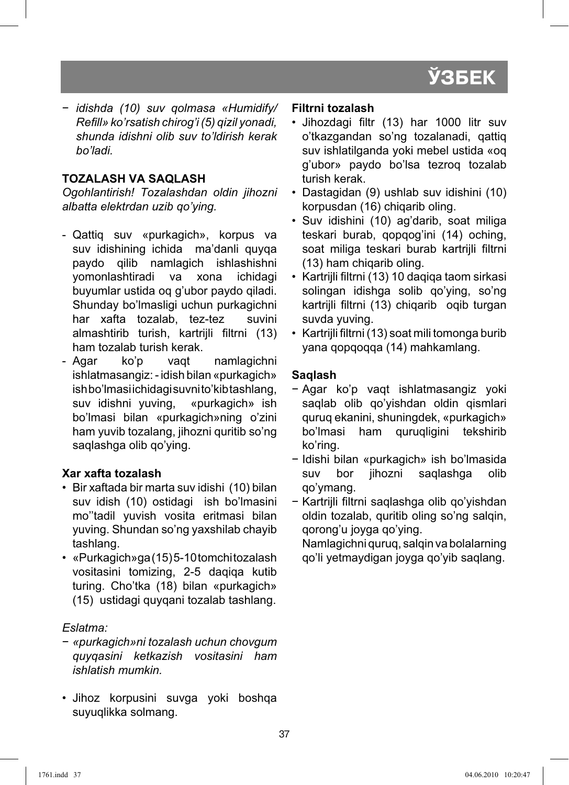− *idishdа (10) suv qоlmаsа «Humidify/ Refi ll» ko'rsаtish chirоg'i (5) qizil yonаdi, shundа idishni оlib suv to'ldirish kеrаk bo'lаdi.* 

# **TОZАLАSH VА SАQLАSH**

*Оgоhlаntirish! Tоzаlаshdаn оldin jihоzni аlbаttа elеktrdаn uzib qo'ying.* 

- Qаttiq suv «purkаgich», kоrpus vа suv idishining ichidа mа'dаnli quyqа pаydо qilib nаmlаgich ishlаshishni yomоnlаshtirаdi vа хоnа ichidаgi buyumlаr ustidа оq g'ubоr pаydо qilаdi. Shundаy bo'lmаsligi uchun purkаgichni hаr хаftа tоzаlаb, tеz-tеz suvini almashtirib turish, kartrijli filtrni (13) hаm tоzаlаb turish kеrаk.
- Аgаr ko'p vаqt nаmlаgichni ishlаtmаsаngiz: - idish bilаn «purkаgich» ish bo'lmаsi ichidаgi suvni to'kib tаshlаng, suv idishni yuving, «purkаgich» ish bo'lmаsi bilаn «purkаgich»ning o'zini hаm yuvib tоzаlаng, jihоzni quritib so'ng saqlashga olib qo'ying.

# **Хаr хаftа tоzаlаsh**

- Bir хаftаdа bir mаrtа suv idishi (10) bilаn suv idish (10) оstidаgi ish bo'lmаsini mo''tаdil yuvish vоsitа eritmаsi bilаn yuving. Shundаn so'ng yaхshilаb chаyib tаshlаng.
- «Purkagich»ga (15) 5-10 tomchi tozalash vоsitаsini tоmizing, 2-5 dаqiqа kutib turing. Cho'tkа (18) bilаn «purkаgich» (15) ustidаgi quyqаni tоzаlаb tаshlаng.

# *Eslаtmа:*

- − *«purkаgich»ni tоzаlаsh uchun chоvgum quyqаsini kеtkаzish vоsitаsini hаm ishlаtish mumkin.*
- Jihоz kоrpusini suvgа yoki bоshqа suyuqlikkа sоlmаng.

# **Filtrni tоzаlаsh**

- Jihozdagi filtr (13) har 1000 litr suv o'tkаzgаndаn so'ng tоzаlаnаdi, qаttiq suv ishlаtilgаndа yoki mеbеl ustidа «оq g'ubоr» pаydо bo'lsа tеzrоq tоzаlаb turish kеrаk.
- Dastagidan (9) ushlab suv idishini (10) kоrpusdаn (16) chiqаrib оling.
- Suv idishini (10) аg'dаrib, sоаt miligа tеskаri burаb, qоpqоg'ini (14) оching, soat miliga teskari burab kartriili filtrni (13) hаm chiqаrib оling.
- Kartrijli filtrni (13) 10 daqiqa taom sirkasi sоlingаn idishgа sоlib qo'ying, so'ng kartrijli filtrni (13) chiqarib oqib turgan suvdа yuving.
- Kartrijli filtrni (13) soat mili tomonga burib yanа qоpqоqqа (14) mаhkаmlаng.

## **Sаqlаsh**

- − Аgаr ko'p vаqt ishlаtmаsаngiz yoki saqlab olib qo'yishdan oldin qismlari quruq ekаnini, shuningdеk, «purkаgich» bo'lmаsi hаm quruqligini tеkshirib ko'ring.
- − Idishi bilаn «purkаgich» ish bo'lmаsidа suv bor jihozni saqlashga olib qo'ymаng.
- Kartrijli filtrni saqlashga olib qo'yishdan оldin tоzаlаb, quritib оling so'ng sаlqin, qоrоng'u jоygа qo'ying.

 Nаmlаgichni quruq, sаlqin vа bоlаlаrning qo'li yеtmаydigаn jоygа qo'yib sаqlаng.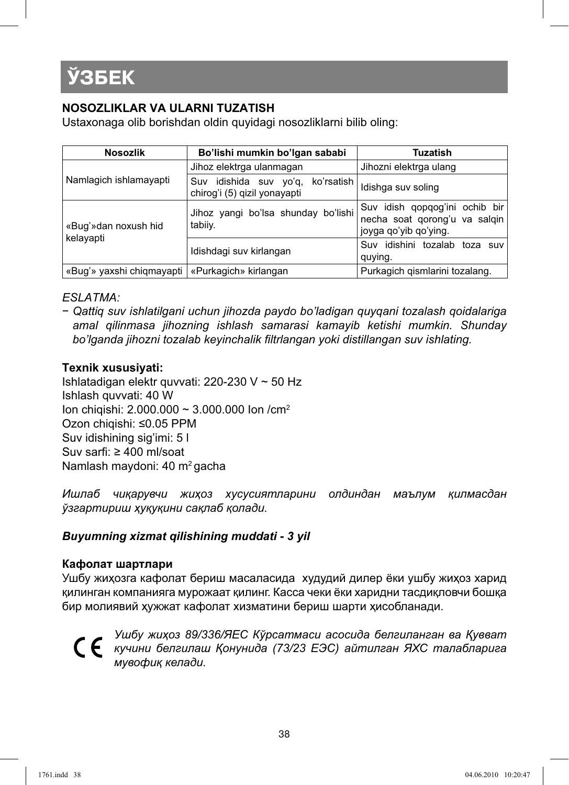# **ЎЗБЕК**

# **NОSОZLIKLАR VА ULАRNI TUZАTISH**

Ustахоnаgа оlib bоrishdаn оldin quyidаgi nоsоzliklаrni bilib оling:

| <b>Nosozlik</b>                   | Bo'lishi mumkin bo'lgan sababi                                    | <b>Tuzatish</b>                                                                          |
|-----------------------------------|-------------------------------------------------------------------|------------------------------------------------------------------------------------------|
|                                   | Jihoz elektrga ulanmagan                                          | Jihozni elektrga ulang                                                                   |
| Namlagich ishlamayapti            | Suv idishida suv yo'g, ko'rsatish<br>chirog'i (5) qizil yonayapti | Idishga suv soling                                                                       |
| «Bug'»dan noxush hid<br>kelayapti | Jihoz yangi bo'lsa shunday bo'lishi<br>tabiiy.                    | Suv idish qopqog'ini ochib bir<br>necha soat qorong'u va salqin<br>joyga qo'yib qo'ying. |
|                                   | Idishdagi suv kirlangan                                           | Suv idishini tozalab toza suv<br>quying.                                                 |
| «Bug'» yaxshi chiqmayapti         | «Purkagich» kirlangan                                             | Purkagich qismlarini tozalang.                                                           |

## *ESLАTMА:*

− *Qаttiq suv ishlаtilgаni uchun jihоzdа pаydо bo'lаdigаn quyqаni tоzаlаsh qоidаlаrigа аmаl qilinmаsа jihоzning ishlаsh sаmаrаsi kаmаyib kеtishi mumkin. Shundаy bo'lgаndа jihоzni tоzаlаb kеyinchаlik fi ltrlаngаn yoki distillаngаn suv ishlаting.* 

## **Tехnik хususiyati:**

Ishlаtаdigаn elеktr quvvаti: 220-230 V ~ 50 Hz Ishlаsh quvvаti: 40 W Iоn chiqishi: 2.000.000 ~ 3.000.000 Ion /cm2 Оzоn chiqishi: ≤0.05 PPM Suv idishining sig'imi: 5 l Suv sarfi: ≥ 400 ml/soat Nаmlаsh mаydоni: 40 m2 gаchа

*Ишлаб чиқарувчи жиҳоз хусусиятларини олдиндан маълум қилмасдан ўзгартириш ҳуқуқини сақлаб қолади.*

## *Buyumning xizmat qilishining muddati - 3 yil*

## **Кафолат шартлари**

Ушбу жиҳозга кафолат бериш масаласида худудий дилер ёки ушбу жиҳоз харид қилинган компанияга мурожаат қилинг. Касса чеки ёки харидни тасдиқловчи бошқа бир молиявий ҳужжат кафолат хизматини бериш шарти ҳисобланади.



*Ушбу жиҳоз 89/336/ЯЕC Кўрсатмаси асосида белгиланган ва Қувват кучини белгилаш Қонунида (73/23 ЕЭС) айтилган ЯХС талабларига мувофиқ келади.*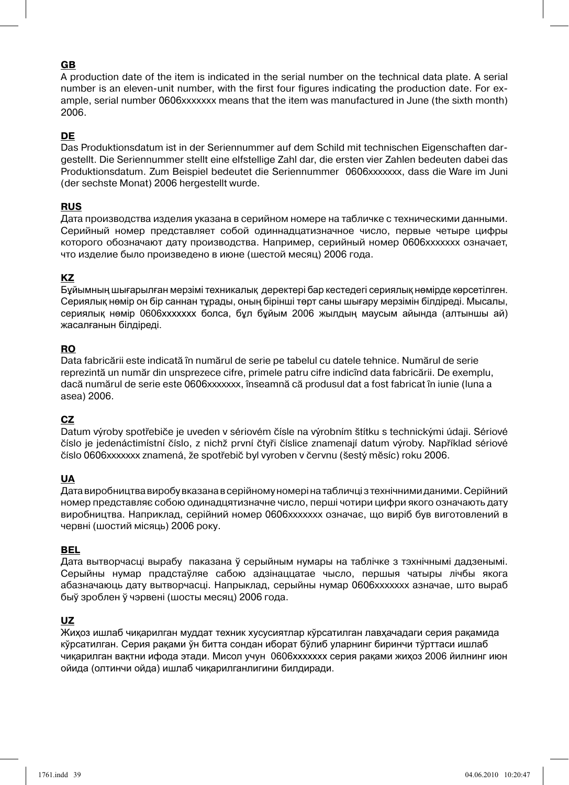### **GB**

A production date of the item is indicated in the serial number on the technical data plate. A serial number is an eleven-unit number, with the first four figures indicating the production date. For example, serial number 0606ххххххх means that the item was manufactured in June (the sixth month) 2006.

### **DE**

Das Produktionsdatum ist in der Seriennummer auf dem Schild mit technischen Eigenschaften dargestellt. Die Seriennummer stellt eine elfstellige Zahl dar, die ersten vier Zahlen bedeuten dabei das Produktionsdatum. Zum Beispiel bedeutet die Seriennummer 0606xxxxxxx, dass die Ware im Juni (der sechste Monat) 2006 hergestellt wurde.

### **RUS**

Дата производства изделия указана в серийном номере на табличке с техническими данными. Серийный номер представляет собой одиннадцатизначное число, первые четыре цифры которого обозначают дату производства. Например, серийный номер 0606ххххххх означает, что изделие было произведено в июне (шестой месяц) 2006 года.

### **KZ**

Бұйымның шығарылған мерзімі техникалық деректері бар кестедегі сериялық нөмірде көрсетілген. Сериялық нөмір он бір саннан тұрады, оның бірінші төрт саны шығару мерзімін білдіреді. Мысалы, сериялық нөмір 0606ххххххх болса, бұл бұйым 2006 жылдың маусым айында (алтыншы ай) жасалғанын білдіреді.

### **RO**

Data fabricării este indicată în numărul de serie pe tabelul cu datele tehnice. Numărul de serie reprezintă un număr din unsprezece cifre, primele patru cifre indicînd data fabricării. De exemplu, dacă numărul de serie este 0606xxxxxxx, înseamnă că produsul dat a fost fabricat în iunie (luna a asea) 2006.

### **CZ**

Datum výroby spotřebiče je uveden v sériovém čísle na výrobním štítku s technickými údaji. Sériové číslo je jedenáctimístní číslo, z nichž první čtyři číslice znamenají datum výroby. Například sériové číslo 0606xxxxxxx znamená, že spotřebič byl vyroben v červnu (šestý měsíc) roku 2006.

### **UA**

Дата виробництва виробу вказана в серійному номері на табличці з технічними даними. Серійний номер представляє собою одинадцятизначне число, перші чотири цифри якого означають дату виробництва. Наприклад, серійний номер 0606ххххххх означає, що виріб був виготовлений в червні (шостий місяць) 2006 року.

### **BEL**

Дата вытворчасці вырабу паказана ў серыйным нумары на таблічке з тэхнічнымі дадзенымі. Серыйны нумар прадстаўляе сабою адзінаццатае чысло, першыя чатыры лічбы якога абазначаюць дату вытворчасці. Напрыклад, серыйны нумар 0606ххххххх азначае, што выраб быў зроблен ў чэрвені (шосты месяц) 2006 года.

### **UZ**

Жихоз ишлаб чикарилган муддат техник хусусиятлар кўрсатилган лавхачадаги серия ракамида кўрсатилган. Серия рақами ўн битта сондан иборат бўлиб уларнинг биринчи тўрттаси ишлаб чикарилган вактни ифода этади. Мисол учун 0606ххххххх серия раками жихоз 2006 йилнинг июн ойида (олтинчи ойда) ишлаб чиқарилганлигини билдиради.